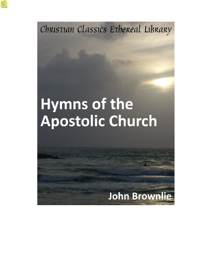Christian Classics Ethereal Library

# Hymns of the Apostolic Church

# **John Brownlie**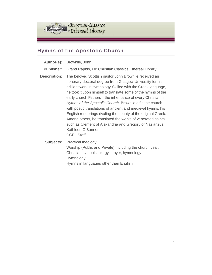

### **Hymns of the Apostolic Church**

| Author(s):          | Brownlie, John                                                                                                                                                                                                                                                                                                                                                                                                                                                                                                                                                                                                                                                                    |
|---------------------|-----------------------------------------------------------------------------------------------------------------------------------------------------------------------------------------------------------------------------------------------------------------------------------------------------------------------------------------------------------------------------------------------------------------------------------------------------------------------------------------------------------------------------------------------------------------------------------------------------------------------------------------------------------------------------------|
| <b>Publisher:</b>   | Grand Rapids, MI: Christian Classics Ethereal Library                                                                                                                                                                                                                                                                                                                                                                                                                                                                                                                                                                                                                             |
| <b>Description:</b> | The beloved Scottish pastor John Brownlie received an<br>honorary doctoral degree from Glasgow University for his<br>brilliant work in hymnology. Skilled with the Greek language,<br>he took it upon himself to translate some of the hymns of the<br>early church Fathers—the inheritance of every Christian. In<br>Hymns of the Apostolic Church, Brownlie gifts the church<br>with poetic translations of ancient and medieval hymns, his<br>English renderings rivaling the beauty of the original Greek.<br>Among others, he translated the works of venerated saints,<br>such as Clement of Alexandria and Gregory of Nazianzus.<br>Kathleen O'Bannon<br><b>CCEL Staff</b> |
|                     | <b>Subjects:</b> Practical theology<br>Worship (Public and Private) Including the church year,<br>Christian symbols, liturgy, prayer, hymnology<br>Hymnology                                                                                                                                                                                                                                                                                                                                                                                                                                                                                                                      |

Hymns in languages other than English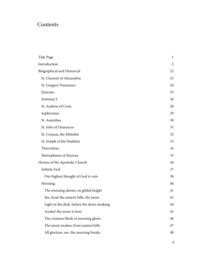## Contents

| Title Page                                 | 1  |
|--------------------------------------------|----|
| Introduction                               | 2  |
| Biographical and Historical                | 22 |
| St. Clement of Alexandria                  | 23 |
| St. Gregory Nazianzen                      | 24 |
| Synesius                                   | 25 |
| Justinian I.                               | 26 |
| St. Andrew of Crete                        | 28 |
| Sophronius                                 | 29 |
| St. Anatolius                              | 30 |
| St. John of Damascus                       | 31 |
| St. Cosmas, the Melodist                   | 32 |
| St. Joseph of the Studium                  | 33 |
| Theoctistus                                | 34 |
| Metrophanes of Smyrna                      | 35 |
| Hymns of the Apostolic Church              | 36 |
| <b>Infinite God</b>                        | 37 |
| Our highest thought of God is vain         | 38 |
| Morning                                    | 40 |
| The morning dawns; on gilded height        | 41 |
| See, from the eastern hills, the morn      | 42 |
| Light in the dark, before the dawn awaking | 44 |
| Awake! the morn is here                    | 45 |
| The crimson blush of morning glows         | 46 |
| The morn awakes; from eastern hills        | 47 |
| All glorious, see, the morning breaks      | 48 |
|                                            |    |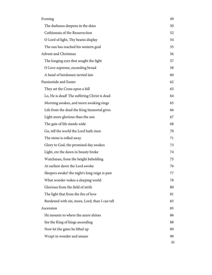| Evening                                        | 49               |
|------------------------------------------------|------------------|
| The darkness deepens in the skies              | 50               |
| Cathismata of the Resurrection                 | 52               |
| O Lord of light, Thy beams display             | 54               |
| The sun has reached his western goal           | 55               |
| <b>Advent and Christmas</b>                    | 56               |
| The longing eyes that sought the light         | 57               |
| O Love supreme, exceeding broad                | 58               |
| A band of herdsmen tarried late                | 60               |
| Passiontide and Easter                         | 62               |
| They set the Cross upon a hill                 | 63               |
| Lo, He is dead! The suffering Christ is dead   | 64               |
| Morning awakes, and morn awaking sings         | 65               |
| Life from the dead the King Immortal gives     | 66               |
| Light more glorious than the sun               | 67               |
| The gate of life stands wide                   | 68               |
| Go, tell the world the Lord hath risen         | 70               |
| The stone is rolled away                       | 71               |
| Glory to God, the promised day awakes          | 73               |
| Light, ere the dawn in beauty broke            | 74               |
| Watchman, from the height beholding            | 75               |
| At earliest dawn the Lord awoke                | 76               |
| Sleepers awake! the night's long reign is past | 77               |
| What wonder wakes a sleeping world             | 78               |
| Glorious from the field of strife              | 80               |
| The light that from the fire of love           | 81               |
| Burdened with sin, more, Lord, than I can tell | 83               |
| Ascension                                      | 85               |
| He mounts to where the azure shines            | 86               |
| See the King of kings ascending                | 88               |
| Now let the gates be lifted up                 | 89               |
| Wrapt in wonder and amaze                      | 90               |
|                                                | $\overline{111}$ |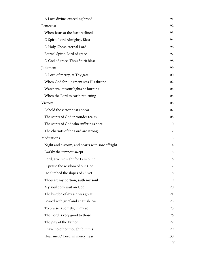| A Love divine, exceeding broad                   | 91  |
|--------------------------------------------------|-----|
| Pentecost                                        | 92  |
| When Jesus at the feast reclined                 | 93  |
| O Spirit, Lord Almighty, Blest                   | 94  |
| O Holy Ghost, eternal Lord                       | 96  |
| Eternal Spirit, Lord of grace                    | 97  |
| O God of grace, Thou Spirit blest                | 98  |
| Judgment                                         | 99  |
| O Lord of mercy, at Thy gate                     | 100 |
| When God for judgment sets His throne            | 102 |
| Watchers, let your lights be burning             | 104 |
| When the Lord to earth returning                 | 105 |
| Victory                                          | 106 |
| Behold the victor host appear                    | 107 |
| The saints of God in yonder realm                | 108 |
| The saints of God who sufferings bore            | 110 |
| The chariots of the Lord are strong              | 112 |
| Meditations                                      | 113 |
| Night and a storm, and hearts with sore affright | 114 |
| Darkly the tempest swept                         | 115 |
| Lord, give me sight for I am blind               | 116 |
| O praise the wisdom of our God                   | 117 |
| He climbed the slopes of Olivet                  | 118 |
| Thou art my portion, saith my soul               | 119 |
| My soul doth wait on God                         | 120 |
| The burden of my sin was great                   | 121 |
| Bowed with grief and anguish low                 | 123 |
| To praise is comely, O my soul                   | 125 |
| The Lord is very good to those                   | 126 |
| The pity of the Father                           | 127 |
| I have no other thought but this                 | 129 |
| Hear me, O Lord, in mercy hear                   | 130 |
|                                                  | iv  |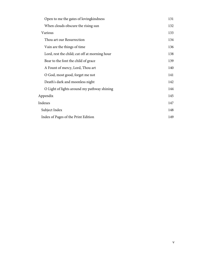| Open to me the gates of loving kindness       | 131 |
|-----------------------------------------------|-----|
| When clouds obscure the rising sun            | 132 |
| Various                                       | 133 |
| Thou art our Resurrection                     | 134 |
| Vain are the things of time                   | 136 |
| Lord, rest the child; cut off at morning hour | 138 |
| Bear to the font the child of grace           | 139 |
| A Fount of mercy, Lord, Thou art              | 140 |
| O God, most good, forget me not               | 141 |
| Death's dark and moonless night               | 142 |
| O Light of lights around my pathway shining   | 144 |
| Appendix                                      | 145 |
| Indexes                                       | 147 |
| Subject Index                                 | 148 |
| Index of Pages of the Print Edition           | 149 |
|                                               |     |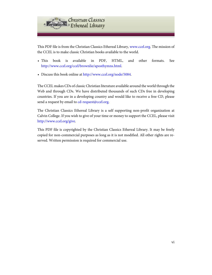

This PDF file is from the Christian Classics Ethereal Library, [www.ccel.org.](http://www.ccel.org) The mission of the CCEL is to make classic Christian books available to the world.

- This book is available in PDF, HTML, and other formats. See <http://www.ccel.org/ccel/brownlie/aposthymns.html>.
- Discuss this book online at [http://www.ccel.org/node/5084.](http://www.ccel.org/node/5084)

The CCEL makes CDs of classic Christian literature available around the world through the Web and through CDs. We have distributed thousands of such CDs free in developing countries. If you are in a developing country and would like to receive a free CD, please send a request by email to [cd-request@ccel.org.](mailto:cd-request@ccel.org)

The Christian Classics Ethereal Library is a self supporting non-profit organization at Calvin College. If you wish to give of your time or money to support the CCEL, please visit [http://www.ccel.org/give.](http://www.ccel.org/give)

This PDF file is copyrighted by the Christian Classics Ethereal Library. It may be freely copied for non-commercial purposes as long as it is not modified. All other rights are reserved. Written permission is required for commercial use.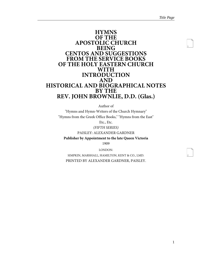2

#### <span id="page-7-0"></span>**HYMNS OF THE APOSTOLIC CHURCH BEING CENTOS AND SUGGESTIONS FROM THE SERVICE BOOKS OF THE HOLY EASTERN CHURCH WITH INTRODUCTION AND HISTORICAL AND BIOGRAPHICAL NOTES BY THE REV. JOHN BROWNLIE, D.D. (Glas.)**

Author of

"Hymns and Hymn-Writers of the Church Hymnary" "Hymns from the Greek Office Books," "Hymns from the East"

Etc., Etc.

(FIFTH SERIES)

PAISLEY: ALEXANDER GARDNER

**Publisher by Appointment to the late Queen Victoria** 1909

LONDON:

SIMPKIN, MARSHALL, HAMILTON, KENT & CO., LMD. PRINTED BY ALEXANDER GARDNER, PAISLEY.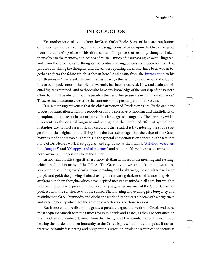9

10

11

12

#### **INTRODUCTION**

<span id="page-8-0"></span>Yet another series of hymns from the Greek Office Books. Some of them are translations or renderings, more are centos, but most are suggestions, or based upon the Greek. To quote from the author's preface to his third series:—"In process of reading, thoughts linked themselves to the memory, and echoes of music—much of it surpassingly sweet—lingered, and from those echoes and thoughts the centos and suggestions have been formed. The phrases containing the thoughts, and the echoes repeating the music, have been woven together to form the fabric which is shown here." And again, from the [Introduction](http://ccel.org/ccel/brownlie/russianhymns.intro.html) to his fourth series:—"The Greek has been used as a basis, a theme, a motive; oriental colour, and, it is to be hoped, some of the oriental warmth, has been preserved. Now and again an oriental figure is retained, and to those who have any knowledge of the worship of the Eastern Church, it must be obvious that the peculiar themes of her praise are in abundant evidence." These extracts accurately describe the contents of the greater part of this volume.

It is in their suggestiveness that the chief attraction of Greek hymns lies. By the ordinary process of translation a hymn is reproduced in its excessive symbolism and multiplicity of metaphor, and the result in our matter-of-fact language is incongruity. The harmony which it presents in the original language and setting, and the combined effect of symbol and metaphor, are in most cases lost, and discord is the result. It is by capturing the subtle suggestion of the original, and utilising it to the best advantage, that the value of the Greek hymn is made appreciable. That this is the general conviction is evidenced by the fact that none of Dr. Neale's work is so popular, and rightly so, as the hymns, "[Art thou weary, art](http://ccel.org/ccel/neale/easternhymns.H55.html) [thou languid?](http://ccel.org/ccel/neale/easternhymns.H55.html)" and ["O happy band of pilgrims,](http://ccel.org/ccel/neale/easternhymns.H56.html)" and neither of these hymns is a translation: both are merely suggestions from the Greek.

In no hymns is this suggestiveness more felt than in those for the morning and evening, which are found in many of the Offices. The Greek hymn writers took time to watch the sun rise and set. The glow of early dawn spreading and brightening; the clouds fringed with purple and gold; the glowing shafts chasing the retreating darkness—this morning vision awakened in them thoughts which have inspired meditative minds in all ages, but which it is enriching to have expressed in the peculiarly suggestive manner of the Greek Christian poet. As with the sunrise, so with the sunset. The morning and evening give buoyancy and restfulness to Greek hymnody, and clothe the work of its choicest singers with a brightness and varying beauty which are the abiding characteristics of those seasons.

But if one would realise in the greatest possible degree the wealth of Greek praise, he must acquaint himself with the Offices for Passiontide and Easter, as they are contained in the Triodion and Pentecostarion. There the Christ, in all the humiliation of His manhood, bearing the burden of fallen humanity to the Cross, is presented to us in a guise, if not attractive, certainly fascinating and pregnant in suggestion; while the Resurrection victory is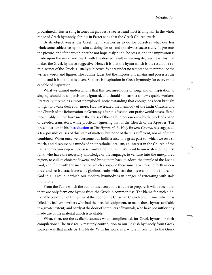proclaimed in Easter song in tones the gladdest, sweetest, and most triumphant in the whole range of Greek hymnody; for it is in Easter song that the Greek Church excels.

By its objectiveness, the Greek hymn enables us to do for ourselves what our less wholesome subjective hymns aim at doing for us, and not always successfully. It presents the picture, and if the worshipper be not hopelessly blind, he sees it, and the impression is made upon the mind and heart, with the desired result in varying degrees. It is this that makes the Greek hymn so suggestive. Hence it is that the hymn which is the result of a reminiscence of the Greek is usually subjective. We are under no temptation to reproduce the writer's words and figures. The outline fades, but the impression remains and possesses the mind, and it is that that is given. So there is inspiration in Greek hymnody for every mind capable of inspiration.

What we cannot understand is that this treasure-house of song, and of inspiration to singing, should be so persistently ignored, and should still attract so few capable workers. Practically it remains almost unexplored, notwithstanding that enough has been brought to light to awake desire for more. Had we treated the hymnody of the Latin Church, and the Church of the Reformation in Germany, after this fashion, our praise would have suffered incalculably. But we have made the praise of those Churches our own, by the work of a band of devoted translators, while practically ignoring that of the Church of the Apostles. The present writer, in his [Introduction](http://ccel.org/ccel/brownlie/easternhymns.int1.html) to The Hymns of the Holy Eastern Church, has suggested a few possible causes of this state of matters, but none of them is sufficient, nor all of them combined. When once we overcome our indifference to a great past to which we owe so much, and disabuse our minds of an uncatholic localism, an interest in the Church of the East and her worship will possess us—but not till then. We want hymn writers of the first rank, who have the necessary knowledge of the language, to venture into the unexplored region, to cull its choicest flowers, and bring them back to adorn the temple of the Living God; and, fired with the inspiration which a sojourn there must give, to send forth in new dress and fresh attractiveness the glorious truths which are the possession of the Church of God in all ages, but which our modern hymnody is in danger of reiterating with stale monotony.

From the Table which the author has been at the trouble to prepare, it will be seen that there are only forty-one hymns from the Greek in common use. The blame for such a deplorable condition of things lies at the door of the Christian Church of our time, which has failed, by its hymn writers who had the needful equipment, to make those hymns available to a greater extent; and partly at the door of compilers of hymnals, who have not sufficiently made use of the material which is available.

What, then, are the available sources when compilers ask for Greek hymns for their compilations? The first really masterly contribution to our English hymnody from Greek sources was that made by Dr. Neale. With his work as a whole in relation to the Greek 14

15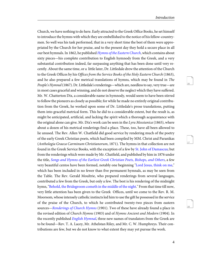17

18

Church, we have nothing to do here. Early attracted to the Greek Office Books, he set himself to introduce the hymns with which they are embellished to the notice of his fellow-countrymen. So well was his task performed, that in a very short time the best of them were appropriated by the Church for her praise, and to the present day they hold a secure place in all our best hymnals. In 1862, he published [Hymns of the Eastern Church](http://ccel.org/ccel/neale/easternhymns), which contains about sixty pieces—his complete contribution to English hymnody from the Greek, and a very substantial contribution indeed, far surpassing anything that has been done until very recently. About the same time, or a little later, Dr. Littledale drew the attention of the Church to the Greek Offices by his Offices from the Service Books of the Holy Eastern Church (1863), and he also prepared a few metrical translations of hymns, which may be found in The People's Hymnal (1867). Dr. Littledale's renderings—which are, needless to say, very true—are in most cases graceful and winning, and do not deserve the neglect which they have suffered. Mr. W. Chatterton Dix, a considerable name in hymnody, would seem to have been stirred to follow the pioneers as closely as possible; for while he made no entirely original contribution from the Greek, he worked upon some of Dr. Littledale's prose translations, putting them into graceful metrical form. This he did to a considerable extent, but the result is, as might be anticipated, artificial, and lacking the spirit which a thorough acquaintance with the original alone can give. Mr. Dix's work can be seen in the Lyra Messianica (1865), where about a dozen of his metrical renderings find a place. These, too, have all been allowed to lie unused. The Rev. Allen W. Chatfield did good service by rendering much of the poetry of the early Greek Christian poets, which had been compiled by MM. Christ and Paranikas (Anthologia Graeca Carminum Christianorum, 1871). The hymns in that collection are not found in the Greek Service Books, with the exception of a few by [St. John of Damascus](#page-37-0); but from the renderings which were made by Mr. Chatfield, and published by him in 1876 under the title, [Songs and Hymns of the Earliest Greek Christian Poets, Bishops, and Others](http://ccel.org/ccel/chatfield/greeksongs), a few very beautiful centos have been formed, notably one beginning ["Lord Jesus, think on me,](http://ccel.org/ccel/chatfield/greeksongs.h010.html)" which has been included in no fewer than five permanent hymnals, as may be seen from the Table. The Rev. Gerald Moultrie, who prepared renderings from several languages, contributed a few from the Greek, but only a few. The best is his rendering of the midnight hymn, "[Behold, the Bridegroom cometh in the middle of the night](http://ccel.org/ccel/dearmer/englishhymnl.h003.html)." From that time till now, very little attention has been given to the Greek Offices, until we come to the Rev. R. M. Moorsom, whose intensely catholic instincts led him to use the gift he possessed in the service of the praise of the Church, to which he contributed twenty-two pieces from eastern sources—[Renderings of Church Hymns](http://ccel.org/ccel/moorsom/churchhymns) (1901). Two of these have already found a place in the revised edition of Church Hymns (1903) and of Hymns Ancient and Modern (1904). In the recently published *[English Hymnal](http://ccel.org/ccel/dearmer/englishhymnl)*, three new names of translators from the Greek are to be found—Rev. T. A. Lacey, Mr. Athelstan Riley, and Mr. C. W. Humphreys. Their contributions are few, but we do not know to what extent they may yet pursue the work.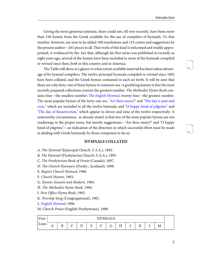20

Giving the most generous estimate, there could not, till very recently, have been more than 150 hymns from the Greek available for the use of compilers of hymnals. To that number, however, are now to be added 108 translations and 153 centos and suggestions by the present author—261 pieces in all. That work of this kind is welcomed and readily appropriated, is evidenced by the fact that, although his first series was published so recently as eight years ago, several of the hymns have been included in most of the hymnals compiled or revised since then, both in this country and in America.

The Table will show at a glance to what extent available material has been taken advantage of by hymnal compilers. The twelve principal hymnals compiled or revised since 1892 have been collated, and the Greek hymns contained in each set forth. It will be seen that there are only forty-one of these hymns in common use. A gratifying feature is that the most recently prepared collections contain the greatest number. The Methodist Hymn Book con-tains four—the smallest number; [The English Hymnal](http://ccel.org/ccel/dearmer/englishhymnl), twenty-four—the greatest number. The most popular hymns of the forty-one are, "[Art thou weary?](http://ccel.org/ccel/neale/easternhymns.H55.html)" and ["The day is past and](http://ccel.org/ccel/neale/easternhymns.H2.html) [over,](http://ccel.org/ccel/neale/easternhymns.H2.html)" which are included in all the twelve hymnals; and ["O happy band of pilgrims"](http://ccel.org/ccel/neale/easternhymns.H56.html) and "[The day of Resurrection,](http://ccel.org/ccel/neale/easternhymns.H10.html)" which appear in eleven and nine of the twelve respectively. A noteworthy circumstance, as already stated, is that two of the most popular hymns are not renderings in the proper sense, but merely suggestions—"Art thou weary?" and "O happy band of pilgrims"—an indication of the direction in which successful effort must be made in dealing with Greek hymnody by those competent to do so.

#### **HYMNALS COLLATED**

A. The Hymnal (Episcopal Church, U.S.A.), 1892.

B. The Hymnal (Presbyterian Church, U.S.A.), 1895.

C. The Presbyterian Book of Praise (Canada), 1897.

D. The Church Hymnary (Presby., Scotland), 1898.

E. Baptist Church Hymnal, 1900.

F. Church Hymns, 1903.

G. Hymns Ancient and Modern, 1904.

H. The Methodist Hymn Book, 1904.

I. New Office Hymn Book, 1905.

K. Worship Song (Congregational), 1905.

L. [English Hymnal](http://ccel.org/ccel/dearmer/englishhymnl), 1906.

M. Church Praise (English Presbyterian), 1908.

| First | <b>HYMNALS</b> |        |        |        |             |        |        |   |  |            |  |   |  |
|-------|----------------|--------|--------|--------|-------------|--------|--------|---|--|------------|--|---|--|
| Lines | $\mathbf{L}$   | D<br>D | ╭<br>◡ | –<br>້ | Ð<br>н<br>∸ | Ð<br>н | ⌒<br>Ű | п |  | $ -$<br>17 |  | М |  |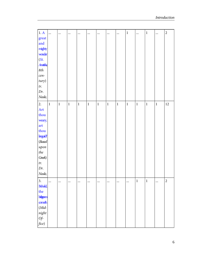| 1. A                      | $\ddotsc$   | $\ddotsc$   | $\cdots$ | $\cdots$ | $\cdots$ |          |             | $\cdots$    | $\,1$       |              | $\,1\,$     | $\cdots$ | $\overline{c}$ |
|---------------------------|-------------|-------------|----------|----------|----------|----------|-------------|-------------|-------------|--------------|-------------|----------|----------------|
| great                     |             |             |          |          |          |          |             |             |             |              |             |          |                |
| and                       |             |             |          |          |          |          |             |             |             |              |             |          |                |
| mighty                    |             |             |          |          |          |          |             |             |             |              |             |          |                |
| wonder                    |             |             |          |          |          |          |             |             |             |              |             |          |                |
| (St.                      |             |             |          |          |          |          |             |             |             |              |             |          |                |
| <b>Anthis</b>             |             |             |          |          |          |          |             |             |             |              |             |          |                |
| 8th                       |             |             |          |          |          |          |             |             |             |              |             |          |                |
| cen-                      |             |             |          |          |          |          |             |             |             |              |             |          |                |
| tury)                     |             |             |          |          |          |          |             |             |             |              |             |          |                |
| tr.                       |             |             |          |          |          |          |             |             |             |              |             |          |                |
| Dr.                       |             |             |          |          |          |          |             |             |             |              |             |          |                |
| Neale,                    |             |             |          |          |          |          |             |             |             |              |             |          |                |
| 2.                        | $\mathbf 1$ | $\mathbf 1$ | $\,1$    | $\,1$    | $\,1$    | $\,1$    | $\mathbf 1$ | $\mathbf 1$ | $\mathbf 1$ | $\mathbf{1}$ | $\mathbf 1$ | $\,1$    | $12\,$         |
| Art                       |             |             |          |          |          |          |             |             |             |              |             |          |                |
| thou                      |             |             |          |          |          |          |             |             |             |              |             |          |                |
| weary,                    |             |             |          |          |          |          |             |             |             |              |             |          |                |
| art                       |             |             |          |          |          |          |             |             |             |              |             |          |                |
| thou                      |             |             |          |          |          |          |             |             |             |              |             |          |                |
| languid?                  |             |             |          |          |          |          |             |             |             |              |             |          |                |
| (Based)                   |             |             |          |          |          |          |             |             |             |              |             |          |                |
| upon                      |             |             |          |          |          |          |             |             |             |              |             |          |                |
| $\it the$                 |             |             |          |          |          |          |             |             |             |              |             |          |                |
| Greek)                    |             |             |          |          |          |          |             |             |             |              |             |          |                |
| $\ensuremath{tr}\xspace.$ |             |             |          |          |          |          |             |             |             |              |             |          |                |
| Dr.                       |             |             |          |          |          |          |             |             |             |              |             |          |                |
| Neale,                    |             |             |          |          |          |          |             |             |             |              |             |          |                |
| 3.                        | $\cdots$    | $\cdots$    | $\cdots$ | $\cdots$ | $\cdots$ | $\cdots$ |             | $\cdots$    |             | $\mathbf{1}$ | $\mathbf 1$ | $\cdots$ | $\overline{c}$ |
| Behold,                   |             |             |          |          |          |          |             |             |             |              |             |          |                |
| the                       |             |             |          |          |          |          |             |             |             |              |             |          |                |
| <b>literom</b>            |             |             |          |          |          |          |             |             |             |              |             |          |                |
| cometh                    |             |             |          |          |          |          |             |             |             |              |             |          |                |
| $(Mid-$                   |             |             |          |          |          |          |             |             |             |              |             |          |                |
| $night$                   |             |             |          |          |          |          |             |             |             |              |             |          |                |
| $Of$ -                    |             |             |          |          |          |          |             |             |             |              |             |          |                |
| fice)                     |             |             |          |          |          |          |             |             |             |              |             |          |                |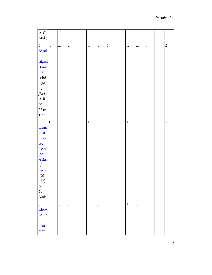| $tr. \; G.$                        |          |          |          |          |              |          |             |          |             |             |          |           |                |
|------------------------------------|----------|----------|----------|----------|--------------|----------|-------------|----------|-------------|-------------|----------|-----------|----------------|
| Moutrie                            |          |          |          |          |              |          |             |          |             |             |          |           |                |
|                                    |          |          |          |          |              |          |             |          |             |             |          |           | $\overline{c}$ |
| 4.<br>Behold,                      | $\cdots$ |          | $\cdots$ | $\cdots$ | $\cdots$     | $\,1$    | $\mathbf 1$ |          |             |             | $\cdots$ |           |                |
| the                                |          |          |          |          |              |          |             |          |             |             |          |           |                |
| <b>Literom</b>                     |          |          |          |          |              |          |             |          |             |             |          |           |                |
| draweth                            |          |          |          |          |              |          |             |          |             |             |          |           |                |
| $\operatorname{night}$             |          |          |          |          |              |          |             |          |             |             |          |           |                |
| $(Mid-$                            |          |          |          |          |              |          |             |          |             |             |          |           |                |
| $\boldsymbol{n}\text{\emph{ight}}$ |          |          |          |          |              |          |             |          |             |             |          |           |                |
| $Of$ -                             |          |          |          |          |              |          |             |          |             |             |          |           |                |
| fice)                              |          |          |          |          |              |          |             |          |             |             |          |           |                |
| $tr. \; R.$                        |          |          |          |          |              |          |             |          |             |             |          |           |                |
| $M_{\cdot}$                        |          |          |          |          |              |          |             |          |             |             |          |           |                |
| $M$ oor-                           |          |          |          |          |              |          |             |          |             |             |          |           |                |
| som,                               |          |          |          |          |              |          |             |          |             |             |          |           |                |
| 5.                                 | $\,1\,$  |          |          |          | $\mathbf{1}$ |          | $\mathbf 1$ | $\cdots$ | $\mathbf 1$ | $\mathbf 1$ |          |           | 5              |
| Christian,                         |          |          |          | $\cdots$ |              |          |             |          |             |             |          |           |                |
| dost                               |          |          |          |          |              |          |             |          |             |             |          |           |                |
| thou                               |          |          |          |          |              |          |             |          |             |             |          |           |                |
| see                                |          |          |          |          |              |          |             |          |             |             |          |           |                |
| them?                              |          |          |          |          |              |          |             |          |             |             |          |           |                |
| (St.                               |          |          |          |          |              |          |             |          |             |             |          |           |                |
| Andrew                             |          |          |          |          |              |          |             |          |             |             |          |           |                |
| $\mathfrak{g}$                     |          |          |          |          |              |          |             |          |             |             |          |           |                |
| Crete,                             |          |          |          |          |              |          |             |          |             |             |          |           |                |
| 600-                               |          |          |          |          |              |          |             |          |             |             |          |           |                |
| 732)                               |          |          |          |          |              |          |             |          |             |             |          |           |                |
| $\ensuremath{tr}\xspace.$          |          |          |          |          |              |          |             |          |             |             |          |           |                |
| Dr.                                |          |          |          |          |              |          |             |          |             |             |          |           |                |
| Neale,                             |          |          |          |          |              |          |             |          |             |             |          |           |                |
| 6.                                 | $\cdots$ | $\cdots$ | $\cdots$ | $\ldots$ | $\cdots$     | $\cdots$ | $\cdots$    | $\cdots$ | $\mathbf 1$ | $\cdots$    | $\cdots$ | $\ddotsc$ | $\,1$          |
| Close                              |          |          |          |          |              |          |             |          |             |             |          |           |                |
| beside                             |          |          |          |          |              |          |             |          |             |             |          |           |                |
| the                                |          |          |          |          |              |          |             |          |             |             |          |           |                |
| heart                              |          |          |          |          |              |          |             |          |             |             |          |           |                |
| that                               |          |          |          |          |              |          |             |          |             |             |          |           |                |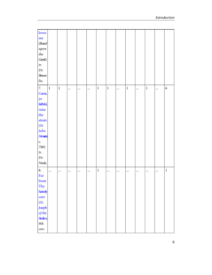| loves         |          |          |           |          |          |             |          |          |          |          |              |                      |
|---------------|----------|----------|-----------|----------|----------|-------------|----------|----------|----------|----------|--------------|----------------------|
| me            |          |          |           |          |          |             |          |          |          |          |              |                      |
| (Based)       |          |          |           |          |          |             |          |          |          |          |              |                      |
| upon          |          |          |           |          |          |             |          |          |          |          |              |                      |
| $\it the$     |          |          |           |          |          |             |          |          |          |          |              |                      |
| Greek)        |          |          |           |          |          |             |          |          |          |          |              |                      |
| tr.           |          |          |           |          |          |             |          |          |          |          |              |                      |
| Dr.           |          |          |           |          |          |             |          |          |          |          |              |                      |
|               |          |          |           |          |          |             |          |          |          |          |              |                      |
| <b>Brown-</b> |          |          |           |          |          |             |          |          |          |          |              |                      |
| lie,          |          |          |           |          |          |             |          |          |          |          |              |                      |
| 7.            | $\,1$    | $\,1$    | $\ddotsc$ | $\cdots$ |          | $\,1$       | $\,1\,$  | $\cdots$ | $\,1\,$  | $\cdots$ | $\mathbf{1}$ | <br>$\boldsymbol{6}$ |
| Come,         |          |          |           |          |          |             |          |          |          |          |              |                      |
| ye            |          |          |           |          |          |             |          |          |          |          |              |                      |
| faithful,     |          |          |           |          |          |             |          |          |          |          |              |                      |
| raise         |          |          |           |          |          |             |          |          |          |          |              |                      |
|               |          |          |           |          |          |             |          |          |          |          |              |                      |
| the           |          |          |           |          |          |             |          |          |          |          |              |                      |
| strain        |          |          |           |          |          |             |          |          |          |          |              |                      |
| (St.          |          |          |           |          |          |             |          |          |          |          |              |                      |
| John          |          |          |           |          |          |             |          |          |          |          |              |                      |
| Dunner        |          |          |           |          |          |             |          |          |          |          |              |                      |
| c.            |          |          |           |          |          |             |          |          |          |          |              |                      |
| 780)          |          |          |           |          |          |             |          |          |          |          |              |                      |
| tr.           |          |          |           |          |          |             |          |          |          |          |              |                      |
| Dr.           |          |          |           |          |          |             |          |          |          |          |              |                      |
| Neale,        |          |          |           |          |          |             |          |          |          |          |              |                      |
|               |          |          |           |          |          |             |          |          |          |          |              |                      |
| 8.            | $\cdots$ | $\cdots$ | $\ldots$  | $\cdots$ | $\cdots$ | $\mathbf 1$ | $\cdots$ | $\cdots$ | $\cdots$ | $\cdots$ | $\cdots$     | <br>$\mathbf 1$      |
| Far           |          |          |           |          |          |             |          |          |          |          |              |                      |
| ${\bf from}$  |          |          |           |          |          |             |          |          |          |          |              |                      |
| Thy           |          |          |           |          |          |             |          |          |          |          |              |                      |
| hearily       |          |          |           |          |          |             |          |          |          |          |              |                      |
| care          |          |          |           |          |          |             |          |          |          |          |              |                      |
| (St.          |          |          |           |          |          |             |          |          |          |          |              |                      |
| Joseph        |          |          |           |          |          |             |          |          |          |          |              |                      |
| of the        |          |          |           |          |          |             |          |          |          |          |              |                      |
| <b>Sudim</b>  |          |          |           |          |          |             |          |          |          |          |              |                      |
|               |          |          |           |          |          |             |          |          |          |          |              |                      |
| $9th$         |          |          |           |          |          |             |          |          |          |          |              |                      |
| $cen-$        |          |          |           |          |          |             |          |          |          |          |              |                      |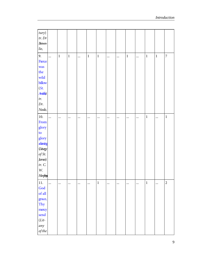| tury)                   |           |       |             |          |             |             |          |          |          |          |             |             |                |
|-------------------------|-----------|-------|-------------|----------|-------------|-------------|----------|----------|----------|----------|-------------|-------------|----------------|
| $tr.$ $Dr$              |           |       |             |          |             |             |          |          |          |          |             |             |                |
| <b>Brown-</b>           |           |       |             |          |             |             |          |          |          |          |             |             |                |
| $\it lie,$              |           |       |             |          |             |             |          |          |          |          |             |             |                |
| 9.                      | $\cdots$  | $\,1$ | $\mathbf 1$ | $\cdots$ | $\mathbf 1$ | $\,1$       | $\ldots$ | $\cdots$ | $\,1\,$  | $\cdots$ | $\mathbf 1$ | $\mathbf 1$ | $\overline{7}$ |
| Fierce                  |           |       |             |          |             |             |          |          |          |          |             |             |                |
| was                     |           |       |             |          |             |             |          |          |          |          |             |             |                |
| the                     |           |       |             |          |             |             |          |          |          |          |             |             |                |
| wild                    |           |       |             |          |             |             |          |          |          |          |             |             |                |
| billow                  |           |       |             |          |             |             |          |          |          |          |             |             |                |
| (St.                    |           |       |             |          |             |             |          |          |          |          |             |             |                |
| <b>Antis</b>            |           |       |             |          |             |             |          |          |          |          |             |             |                |
| tr.                     |           |       |             |          |             |             |          |          |          |          |             |             |                |
| Dr.                     |           |       |             |          |             |             |          |          |          |          |             |             |                |
| Neale,                  |           |       |             |          |             |             |          |          |          |          |             |             |                |
| 10.                     |           |       | $\cdots$    | $\cdots$ |             |             | $\cdots$ | $\cdots$ |          |          | $\mathbf 1$ | $\ddotsc$   | $\mathbf 1$    |
| From                    |           |       |             |          |             |             |          |          |          |          |             |             |                |
| glory                   |           |       |             |          |             |             |          |          |          |          |             |             |                |
| to                      |           |       |             |          |             |             |          |          |          |          |             |             |                |
| glory                   |           |       |             |          |             |             |          |          |          |          |             |             |                |
| ataning                 |           |       |             |          |             |             |          |          |          |          |             |             |                |
| (Liturgy                |           |       |             |          |             |             |          |          |          |          |             |             |                |
| of St.                  |           |       |             |          |             |             |          |          |          |          |             |             |                |
| James)                  |           |       |             |          |             |             |          |          |          |          |             |             |                |
| tr. C.                  |           |       |             |          |             |             |          |          |          |          |             |             |                |
| $\ensuremath{W}\xspace$ |           |       |             |          |             |             |          |          |          |          |             |             |                |
| Hirphys                 |           |       |             |          |             |             |          |          |          |          |             |             |                |
| $11.$                   | $\ddotsc$ |       |             | $\cdots$ |             | $\mathbf 1$ |          | $\cdots$ | $\cdots$ |          | $\mathbf 1$ |             | $\sqrt{2}$     |
| God                     |           |       |             |          |             |             |          |          |          |          |             |             |                |
| of all                  |           |       |             |          |             |             |          |          |          |          |             |             |                |
| grace,                  |           |       |             |          |             |             |          |          |          |          |             |             |                |
| Thy                     |           |       |             |          |             |             |          |          |          |          |             |             |                |
| mercy                   |           |       |             |          |             |             |          |          |          |          |             |             |                |
| send                    |           |       |             |          |             |             |          |          |          |          |             |             |                |
| $(Lit-$                 |           |       |             |          |             |             |          |          |          |          |             |             |                |
| any                     |           |       |             |          |             |             |          |          |          |          |             |             |                |
| $of\,the$               |           |       |             |          |             |             |          |          |          |          |             |             |                |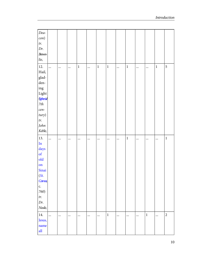| Dea-<br>con)<br>tr.<br>Dr.<br>$Brown-$<br>lie,                                                                                      |            |              |             |          |       |       |           |         |      |       |             |
|-------------------------------------------------------------------------------------------------------------------------------------|------------|--------------|-------------|----------|-------|-------|-----------|---------|------|-------|-------------|
| 12.<br>Hail,<br>glad-<br>den-<br>$\operatorname{ing}$<br>Light<br><b>Sphris</b><br>$7th$<br>cen-<br>tury)<br>tr.<br>John<br>Keble,  | $\dddotsc$ | <br>$\cdots$ | $\mathbf 1$ |          | $\,1$ | $\,1$ | $\cdots$  | $\,1\,$ | <br> | $\,1$ | 5           |
| 13.<br>$\mathop{\mathrm{In}}$<br>days<br>$\sigma$<br>$\mathbf{old}$<br>on<br>Sinai<br>(St.<br>Com <sub>s</sub><br>c.<br>760)<br>tr. | $\ddotsc$  | <br>$\cdots$ | $\cdots$    | $\cdots$ |       |       | $\ddotsc$ | $\,1\,$ | <br> |       | $\mathbf 1$ |
| Dr.<br>Neale,                                                                                                                       |            |              |             |          |       |       |           |         |      |       |             |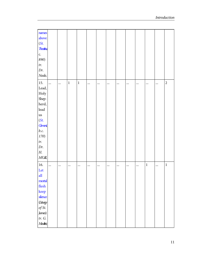| names                 |          |           |             |       |          |          |          |          |      |          |           |                |
|-----------------------|----------|-----------|-------------|-------|----------|----------|----------|----------|------|----------|-----------|----------------|
| above                 |          |           |             |       |          |          |          |          |      |          |           |                |
| (St.                  |          |           |             |       |          |          |          |          |      |          |           |                |
| <b>Thatus</b>         |          |           |             |       |          |          |          |          |      |          |           |                |
| c.                    |          |           |             |       |          |          |          |          |      |          |           |                |
| 890)                  |          |           |             |       |          |          |          |          |      |          |           |                |
| tr.                   |          |           |             |       |          |          |          |          |      |          |           |                |
| Dr.                   |          |           |             |       |          |          |          |          |      |          |           |                |
| Neale,                |          |           |             |       |          |          |          |          |      |          |           |                |
| 15.                   | $\cdots$ | $\ddotsc$ | $\mathbf 1$ | $\,1$ | $\cdots$ | $\cdots$ | $\ldots$ | $\cdots$ | <br> | $\cdots$ | $\ddotsc$ | $\overline{2}$ |
| Lead,                 |          |           |             |       |          |          |          |          |      |          |           |                |
| Holy                  |          |           |             |       |          |          |          |          |      |          |           |                |
| Shep-                 |          |           |             |       |          |          |          |          |      |          |           |                |
| herd,                 |          |           |             |       |          |          |          |          |      |          |           |                |
| $\rm lead$            |          |           |             |       |          |          |          |          |      |          |           |                |
| $\overline{u}$ s      |          |           |             |       |          |          |          |          |      |          |           |                |
| (St.                  |          |           |             |       |          |          |          |          |      |          |           |                |
| <b>Cerrent</b>        |          |           |             |       |          |          |          |          |      |          |           |                |
| b.c.                  |          |           |             |       |          |          |          |          |      |          |           |                |
| 170)                  |          |           |             |       |          |          |          |          |      |          |           |                |
| tr.                   |          |           |             |       |          |          |          |          |      |          |           |                |
| Dr.                   |          |           |             |       |          |          |          |          |      |          |           |                |
| Н.                    |          |           |             |       |          |          |          |          |      |          |           |                |
| M'Gill,               |          |           |             |       |          |          |          |          |      |          |           |                |
| 16.                   | $\cdots$ | $\cdots$  |             |       | $\cdots$ | $\cdots$ | $\ldots$ | $\cdots$ | <br> | $\,1$    |           | $\mathbf 1$    |
| Let                   |          |           |             |       |          |          |          |          |      |          |           |                |
| $\mathbf{all}$        |          |           |             |       |          |          |          |          |      |          |           |                |
| mortal                |          |           |             |       |          |          |          |          |      |          |           |                |
| $\operatorname{flex}$ |          |           |             |       |          |          |          |          |      |          |           |                |
| keep                  |          |           |             |       |          |          |          |          |      |          |           |                |
| silence               |          |           |             |       |          |          |          |          |      |          |           |                |
| (Liturgy              |          |           |             |       |          |          |          |          |      |          |           |                |
| of St.                |          |           |             |       |          |          |          |          |      |          |           |                |
| James)                |          |           |             |       |          |          |          |          |      |          |           |                |
| tr. G.                |          |           |             |       |          |          |          |          |      |          |           |                |
| Moutrie,              |          |           |             |       |          |          |          |          |      |          |           |                |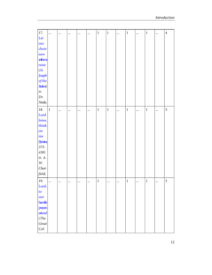| 17.                     | $\ddotsc$ |          |          |          |          | $\,1\,$ | $\mathbf 1$ |           | $\,1$       |           | $\mathbf 1$  |          | $\overline{4}$          |
|-------------------------|-----------|----------|----------|----------|----------|---------|-------------|-----------|-------------|-----------|--------------|----------|-------------------------|
| Let                     |           |          |          | $\cdots$ | $\cdots$ |         |             | $\ddotsc$ |             | $\ddotsc$ |              | $\cdots$ |                         |
|                         |           |          |          |          |          |         |             |           |             |           |              |          |                         |
| our<br>choir            |           |          |          |          |          |         |             |           |             |           |              |          |                         |
|                         |           |          |          |          |          |         |             |           |             |           |              |          |                         |
| new                     |           |          |          |          |          |         |             |           |             |           |              |          |                         |
| arthens                 |           |          |          |          |          |         |             |           |             |           |              |          |                         |
| raise                   |           |          |          |          |          |         |             |           |             |           |              |          |                         |
| (St.                    |           |          |          |          |          |         |             |           |             |           |              |          |                         |
| Joseph                  |           |          |          |          |          |         |             |           |             |           |              |          |                         |
| $of the$                |           |          |          |          |          |         |             |           |             |           |              |          |                         |
| <b>Sidin)</b>           |           |          |          |          |          |         |             |           |             |           |              |          |                         |
| tr.                     |           |          |          |          |          |         |             |           |             |           |              |          |                         |
| Dr.                     |           |          |          |          |          |         |             |           |             |           |              |          |                         |
| Neale,                  |           |          |          |          |          |         |             |           |             |           |              |          |                         |
| $18. \,$                | $\,1$     |          | $\cdots$ | $\cdots$ | $\cdots$ | $\,1$   | $\mathbf 1$ |           | $\mathbf 1$ | $\cdots$  | $\mathbf{1}$ |          | 5                       |
| Lord                    |           |          |          |          |          |         |             |           |             |           |              |          |                         |
| Jesus,                  |           |          |          |          |          |         |             |           |             |           |              |          |                         |
| think                   |           |          |          |          |          |         |             |           |             |           |              |          |                         |
| on                      |           |          |          |          |          |         |             |           |             |           |              |          |                         |
| me                      |           |          |          |          |          |         |             |           |             |           |              |          |                         |
| <b>Synsing</b>          |           |          |          |          |          |         |             |           |             |           |              |          |                         |
| $375 -$                 |           |          |          |          |          |         |             |           |             |           |              |          |                         |
| 430)                    |           |          |          |          |          |         |             |           |             |           |              |          |                         |
|                         |           |          |          |          |          |         |             |           |             |           |              |          |                         |
| tr. A.                  |           |          |          |          |          |         |             |           |             |           |              |          |                         |
| $\ensuremath{W}\xspace$ |           |          |          |          |          |         |             |           |             |           |              |          |                         |
| Chat-                   |           |          |          |          |          |         |             |           |             |           |              |          |                         |
| field,                  |           |          |          |          |          |         |             |           |             |           |              |          |                         |
| 19.                     | $\cdots$  | $\cdots$ | $\cdots$ | $\cdots$ | $\cdots$ | $\,1$   |             | $\cdots$  | $\,1$       |           | $\,1\,$      |          | $\overline{\mathbf{3}}$ |
| Lord,                   |           |          |          |          |          |         |             |           |             |           |              |          |                         |
| to                      |           |          |          |          |          |         |             |           |             |           |              |          |                         |
| our                     |           |          |          |          |          |         |             |           |             |           |              |          |                         |
| humble                  |           |          |          |          |          |         |             |           |             |           |              |          |                         |
| prayers                 |           |          |          |          |          |         |             |           |             |           |              |          |                         |
| attend                  |           |          |          |          |          |         |             |           |             |           |              |          |                         |
| (The                    |           |          |          |          |          |         |             |           |             |           |              |          |                         |
| Great                   |           |          |          |          |          |         |             |           |             |           |              |          |                         |
| $Col-$                  |           |          |          |          |          |         |             |           |             |           |              |          |                         |
|                         |           |          |          |          |          |         |             |           |             |           |              |          |                         |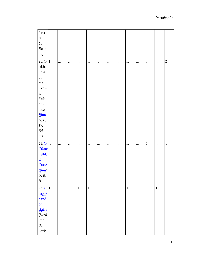| lect)                                                                                              |             |              |          |              |              |             |           |          |             |              |       |                |
|----------------------------------------------------------------------------------------------------|-------------|--------------|----------|--------------|--------------|-------------|-----------|----------|-------------|--------------|-------|----------------|
| tr.                                                                                                |             |              |          |              |              |             |           |          |             |              |       |                |
| Dr.                                                                                                |             |              |          |              |              |             |           |          |             |              |       |                |
| $Brown-$                                                                                           |             |              |          |              |              |             |           |          |             |              |       |                |
| lie,                                                                                               |             |              |          |              |              |             |           |          |             |              |       |                |
| $20.0$  1                                                                                          |             | $\cdots$     | $\cdots$ |              | $\,1$        |             | $\cdots$  | $\cdots$ |             |              |       | $\overline{c}$ |
| bright-                                                                                            |             |              |          |              |              |             |           |          |             |              |       |                |
| ness                                                                                               |             |              |          |              |              |             |           |          |             |              |       |                |
| $% \left( \left( \mathcal{A},\mathcal{A}\right) \right) =\left( \mathcal{A},\mathcal{A}\right)$ of |             |              |          |              |              |             |           |          |             |              |       |                |
| $_{\rm the}$                                                                                       |             |              |          |              |              |             |           |          |             |              |       |                |
| Etern-                                                                                             |             |              |          |              |              |             |           |          |             |              |       |                |
| $\mathbf{a} \mathbf{l}$                                                                            |             |              |          |              |              |             |           |          |             |              |       |                |
| Fath-                                                                                              |             |              |          |              |              |             |           |          |             |              |       |                |
| $\operatorname{\sf er}'\!s$                                                                        |             |              |          |              |              |             |           |          |             |              |       |                |
| $\operatorname{face}$                                                                              |             |              |          |              |              |             |           |          |             |              |       |                |
| <b>Sphris</b>                                                                                      |             |              |          |              |              |             |           |          |             |              |       |                |
| tr. E.                                                                                             |             |              |          |              |              |             |           |          |             |              |       |                |
| $\ensuremath{W}\xspace$                                                                            |             |              |          |              |              |             |           |          |             |              |       |                |
| $Ed-$                                                                                              |             |              |          |              |              |             |           |          |             |              |       |                |
| dis,                                                                                               |             |              |          |              |              |             |           |          |             |              |       |                |
| $21.0$                                                                                             |             | $\cdots$     | $\cdots$ | $\cdots$     |              | $\cdots$    | $\cdots$  | $\cdots$ | $\cdots$    | $\mathbf 1$  |       | $\,1\,$        |
| Grahme                                                                                             |             |              |          |              |              |             |           |          |             |              |       |                |
| Light,                                                                                             |             |              |          |              |              |             |           |          |             |              |       |                |
| $\mathbf{O}$                                                                                       |             |              |          |              |              |             |           |          |             |              |       |                |
| Grace                                                                                              |             |              |          |              |              |             |           |          |             |              |       |                |
| <b>Sphris</b>                                                                                      |             |              |          |              |              |             |           |          |             |              |       |                |
| tr. R.                                                                                             |             |              |          |              |              |             |           |          |             |              |       |                |
| B.,                                                                                                |             |              |          |              |              |             |           |          |             |              |       |                |
| $22.0$ 1                                                                                           | $\mathbf 1$ | $\mathbf{1}$ | $\,1\,$  | $\mathbf{1}$ | $\mathbf{1}$ | $\mathbf 1$ | $\ddotsc$ | $\,1\,$  | $\mathbf 1$ | $\mathbf{1}$ | $\,1$ | $11\,$         |
| happy                                                                                              |             |              |          |              |              |             |           |          |             |              |       |                |
| band                                                                                               |             |              |          |              |              |             |           |          |             |              |       |                |
| $\sigma$ f                                                                                         |             |              |          |              |              |             |           |          |             |              |       |                |
| pigins                                                                                             |             |              |          |              |              |             |           |          |             |              |       |                |
| (Based)                                                                                            |             |              |          |              |              |             |           |          |             |              |       |                |
| upon                                                                                               |             |              |          |              |              |             |           |          |             |              |       |                |
| $\it the$                                                                                          |             |              |          |              |              |             |           |          |             |              |       |                |
| Greek)                                                                                             |             |              |          |              |              |             |           |          |             |              |       |                |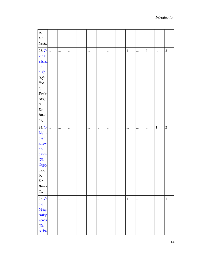| tr.             |               |          |          |          |          |             |          |          |             |           |          |          |                         |
|-----------------|---------------|----------|----------|----------|----------|-------------|----------|----------|-------------|-----------|----------|----------|-------------------------|
| Dr.             |               |          |          |          |          |             |          |          |             |           |          |          |                         |
| Neale,          |               |          |          |          |          |             |          |          |             |           |          |          |                         |
| 23.0            | $\vert \dots$ | $\cdots$ | $\cdots$ | $\cdots$ | $\cdots$ | $\,1$       | $\cdots$ | $\cdots$ | $\,1\,$     | $\ddotsc$ | $\,1\,$  | $\cdots$ | $\overline{\mathbf{3}}$ |
| king            |               |          |          |          |          |             |          |          |             |           |          |          |                         |
| ethond          |               |          |          |          |          |             |          |          |             |           |          |          |                         |
| on              |               |          |          |          |          |             |          |          |             |           |          |          |                         |
| $_{\rm high}$   |               |          |          |          |          |             |          |          |             |           |          |          |                         |
| $(Of -$         |               |          |          |          |          |             |          |          |             |           |          |          |                         |
| fice            |               |          |          |          |          |             |          |          |             |           |          |          |                         |
| for             |               |          |          |          |          |             |          |          |             |           |          |          |                         |
| Pente-          |               |          |          |          |          |             |          |          |             |           |          |          |                         |
| cost)           |               |          |          |          |          |             |          |          |             |           |          |          |                         |
| tr.             |               |          |          |          |          |             |          |          |             |           |          |          |                         |
| Dr.             |               |          |          |          |          |             |          |          |             |           |          |          |                         |
| $Brown-$        |               |          |          |          |          |             |          |          |             |           |          |          |                         |
| lie,            |               |          |          |          |          |             |          |          |             |           |          |          |                         |
| $24.0$          |               |          | $\cdots$ | $\cdots$ | $\cdots$ | $\mathbf 1$ | $\cdots$ |          | $\cdots$    | $\cdots$  |          | $\,1\,$  | $\overline{c}$          |
| Light           |               |          |          |          |          |             |          |          |             |           |          |          |                         |
| that            |               |          |          |          |          |             |          |          |             |           |          |          |                         |
| knew            |               |          |          |          |          |             |          |          |             |           |          |          |                         |
| $\overline{no}$ |               |          |          |          |          |             |          |          |             |           |          |          |                         |
| dawn            |               |          |          |          |          |             |          |          |             |           |          |          |                         |
| (St.            |               |          |          |          |          |             |          |          |             |           |          |          |                         |
| <b>Gregory</b>  |               |          |          |          |          |             |          |          |             |           |          |          |                         |
| 325)            |               |          |          |          |          |             |          |          |             |           |          |          |                         |
| tr.             |               |          |          |          |          |             |          |          |             |           |          |          |                         |
| Dr.             |               |          |          |          |          |             |          |          |             |           |          |          |                         |
| <b>Brown-</b>   |               |          |          |          |          |             |          |          |             |           |          |          |                         |
| lie,            |               |          |          |          |          |             |          |          |             |           |          |          |                         |
| $25.0$          |               | $\cdots$ | $\cdots$ | $\cdots$ | $\cdots$ | $\cdots$    | $\cdots$ | $\cdots$ | $\mathbf 1$ | $\cdots$  | $\cdots$ | $\cdots$ | $\,1$                   |
| the             |               |          |          |          |          |             |          |          |             |           |          |          |                         |
| <b>Mystery</b>  |               |          |          |          |          |             |          |          |             |           |          |          |                         |
| passing         |               |          |          |          |          |             |          |          |             |           |          |          |                         |
| worder          |               |          |          |          |          |             |          |          |             |           |          |          |                         |
| (St.            |               |          |          |          |          |             |          |          |             |           |          |          |                         |
| Andrew          |               |          |          |          |          |             |          |          |             |           |          |          |                         |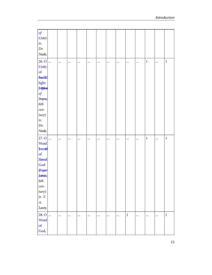| $\mathfrak{g}$                       |           |          |          |          |          |              |           |          |              |          |             |
|--------------------------------------|-----------|----------|----------|----------|----------|--------------|-----------|----------|--------------|----------|-------------|
| Crete)                               |           |          |          |          |          |              |           |          |              |          |             |
| tr.                                  |           |          |          |          |          |              |           |          |              |          |             |
| Dr.                                  |           |          |          |          |          |              |           |          |              |          |             |
| Neale,                               |           |          |          |          |          |              |           |          |              |          |             |
| $26.0$                               | $\ddotsc$ |          | $\cdots$ | $\cdots$ |          | <br>         | $\ddotsc$ | $\cdots$ | $\mathbf{1}$ | $\cdots$ | $\mathbf 1$ |
| Unity                                |           |          |          |          |          |              |           |          |              |          |             |
| $\mathbf{of}% =\mathbf{A}\mathbf{B}$ |           |          |          |          |          |              |           |          |              |          |             |
| threftl                              |           |          |          |          |          |              |           |          |              |          |             |
| light                                |           |          |          |          |          |              |           |          |              |          |             |
| <i>Mtphus</i>                        |           |          |          |          |          |              |           |          |              |          |             |
| $\textit{of}$                        |           |          |          |          |          |              |           |          |              |          |             |
| Snyma                                |           |          |          |          |          |              |           |          |              |          |             |
| 6th                                  |           |          |          |          |          |              |           |          |              |          |             |
| cen-                                 |           |          |          |          |          |              |           |          |              |          |             |
| tury)                                |           |          |          |          |          |              |           |          |              |          |             |
| tr.                                  |           |          |          |          |          |              |           |          |              |          |             |
| Dr.                                  |           |          |          |          |          |              |           |          |              |          |             |
| Neale,                               |           |          |          |          |          |              |           |          |              |          |             |
|                                      |           |          |          |          |          |              |           |          |              |          |             |
| $27.0$                               | $\cdots$  |          | $\cdots$ | $\cdots$ |          | <br>$\cdots$ | $\cdots$  | $\cdots$ | $\,1\,$      |          | $\,1$       |
| Word                                 |           |          |          |          |          |              |           |          |              |          |             |
| <b>Inmutal</b>                       |           |          |          |          |          |              |           |          |              |          |             |
| of                                   |           |          |          |          |          |              |           |          |              |          |             |
| <b>Eternal</b>                       |           |          |          |          |          |              |           |          |              |          |             |
| God                                  |           |          |          |          |          |              |           |          |              |          |             |
| <b>Grpso</b>                         |           |          |          |          |          |              |           |          |              |          |             |
| Justinian,                           |           |          |          |          |          |              |           |          |              |          |             |
| $6th$                                |           |          |          |          |          |              |           |          |              |          |             |
| $cen-$                               |           |          |          |          |          |              |           |          |              |          |             |
| tury)                                |           |          |          |          |          |              |           |          |              |          |             |
| tr. T.                               |           |          |          |          |          |              |           |          |              |          |             |
| A.                                   |           |          |          |          |          |              |           |          |              |          |             |
| Lacey,                               |           |          |          |          |          |              |           |          |              |          |             |
| $28.0$                               |           | $\cdots$ | $\cdots$ | $\cdots$ | $\cdots$ | <br>$\cdots$ | $\,1\,$   | $\cdots$ | $\cdots$     | $\cdots$ | $\,1$       |
| Word                                 |           |          |          |          |          |              |           |          |              |          |             |
| of<br>God,                           |           |          |          |          |          |              |           |          |              |          |             |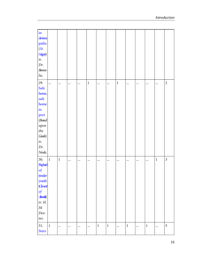| $\mathbf{in}$<br>devious<br>paths<br>(St.<br>Gregory)<br>tr.<br>Dr.<br><b>Brown-</b><br>lie,                                          |           |       |          |          |          |       |         |             |             |           |         |             |                         |
|---------------------------------------------------------------------------------------------------------------------------------------|-----------|-------|----------|----------|----------|-------|---------|-------------|-------------|-----------|---------|-------------|-------------------------|
| 29.<br>Safe<br>home,<br>safe<br>home<br>$\operatorname{in}$<br>port<br>(Based)<br>upon<br>$\it the$<br>Greek)<br>tr.<br>Dr.<br>Neale, | $\cdots$  |       | $\cdots$ | $\cdots$ | $\,1$    |       |         | $\mathbf 1$ | $\ddotsc$   | $\cdots$  |         |             | $\overline{c}$          |
| 30.<br>Support<br>$\sigma$<br>tender<br>youth<br>(Cerrent<br>$\int$<br><b>Abarth</b><br>tr. H.<br>$M_{\cdot}$<br>$Dex-$<br>ter,       | $\vert$ 1 | $\,1$ |          |          | $\cdots$ |       |         |             | $\cdots$    | $\cdots$  |         | $\mathbf 1$ | $\overline{\mathbf{3}}$ |
| 31.<br><b>Stars</b>                                                                                                                   | $\vert$ 1 |       | $\cdots$ | $\cdots$ | $\cdots$ | $\,1$ | $\,1\,$ |             | $\mathbf 1$ | $\ddotsc$ | $\,1\,$ | $\ddotsc$   | 5                       |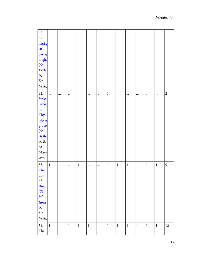| of                                   |           |              |             |          |              |             |             |             |             |             |              |             |                |
|--------------------------------------|-----------|--------------|-------------|----------|--------------|-------------|-------------|-------------|-------------|-------------|--------------|-------------|----------------|
| the                                  |           |              |             |          |              |             |             |             |             |             |              |             |                |
| mming                                |           |              |             |          |              |             |             |             |             |             |              |             |                |
| $\overline{\text{SO}}$               |           |              |             |          |              |             |             |             |             |             |              |             |                |
| gbrinky                              |           |              |             |          |              |             |             |             |             |             |              |             |                |
| bright                               |           |              |             |          |              |             |             |             |             |             |              |             |                |
| (St.                                 |           |              |             |          |              |             |             |             |             |             |              |             |                |
| Joseph)                              |           |              |             |          |              |             |             |             |             |             |              |             |                |
| tr.                                  |           |              |             |          |              |             |             |             |             |             |              |             |                |
| Dr.                                  |           |              |             |          |              |             |             |             |             |             |              |             |                |
| Neale,                               |           |              |             |          |              |             |             |             |             |             |              |             |                |
| 32.                                  | $\ddotsc$ |              |             |          |              | $\mathbf 1$ | $\mathbf 1$ |             |             |             |              |             | $\overline{c}$ |
| Sweet                                |           | $\cdots$     |             | $\cdots$ | $\cdots$     |             |             | $\cdots$    |             |             |              |             |                |
| <b>Saviour</b> ,                     |           |              |             |          |              |             |             |             |             |             |              |             |                |
| $\operatorname{in}$                  |           |              |             |          |              |             |             |             |             |             |              |             |                |
| Thy                                  |           |              |             |          |              |             |             |             |             |             |              |             |                |
| pitying                              |           |              |             |          |              |             |             |             |             |             |              |             |                |
| grace                                |           |              |             |          |              |             |             |             |             |             |              |             |                |
| (St.                                 |           |              |             |          |              |             |             |             |             |             |              |             |                |
| Thatte)                              |           |              |             |          |              |             |             |             |             |             |              |             |                |
| $tr. \; R.$                          |           |              |             |          |              |             |             |             |             |             |              |             |                |
| $M_{\cdot}$                          |           |              |             |          |              |             |             |             |             |             |              |             |                |
| $M$                                  |           |              |             |          |              |             |             |             |             |             |              |             |                |
| som,                                 |           |              |             |          |              |             |             |             |             |             |              |             |                |
|                                      |           |              |             |          |              |             |             |             |             |             |              |             |                |
| 33.                                  | $\,1$     | $\mathbf{1}$ | $\ddotsc$   | $\,1\,$  | $\cdots$     | $\ddotsc$   | $\,1\,$     | $\mathbf 1$ | $\mathbf 1$ | $\mathbf 1$ | $\mathbf{1}$ | $\mathbf 1$ | 9              |
| The                                  |           |              |             |          |              |             |             |             |             |             |              |             |                |
| day                                  |           |              |             |          |              |             |             |             |             |             |              |             |                |
| $\mathbf{of}% =\mathbf{A}\mathbf{,}$ |           |              |             |          |              |             |             |             |             |             |              |             |                |
| <b>Rancin</b>                        |           |              |             |          |              |             |             |             |             |             |              |             |                |
| (St.                                 |           |              |             |          |              |             |             |             |             |             |              |             |                |
| John                                 |           |              |             |          |              |             |             |             |             |             |              |             |                |
| <b>Danced</b>                        |           |              |             |          |              |             |             |             |             |             |              |             |                |
| $\ensuremath{tr}\xspace.$            |           |              |             |          |              |             |             |             |             |             |              |             |                |
| Dr.                                  |           |              |             |          |              |             |             |             |             |             |              |             |                |
| Neale,                               |           |              |             |          |              |             |             |             |             |             |              |             |                |
| 34.                                  | $\,1\,$   | $\mathbf{1}$ | $\mathbf 1$ | $\,1\,$  | $\mathbf{1}$ | $\mathbf 1$ | $\,1\,$     | $\mathbf 1$ | $\,1\,$     | $\mathbf 1$ | $\mathbf{1}$ | $\,1$       | $12\,$         |
| The                                  |           |              |             |          |              |             |             |             |             |             |              |             |                |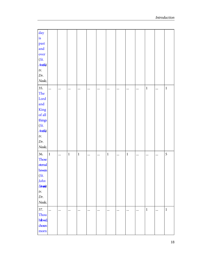| day                       |              |          |             |          |          |          |             |          |          |          |             |           |       |
|---------------------------|--------------|----------|-------------|----------|----------|----------|-------------|----------|----------|----------|-------------|-----------|-------|
| is                        |              |          |             |          |          |          |             |          |          |          |             |           |       |
| past                      |              |          |             |          |          |          |             |          |          |          |             |           |       |
| and                       |              |          |             |          |          |          |             |          |          |          |             |           |       |
| over                      |              |          |             |          |          |          |             |          |          |          |             |           |       |
| (St.                      |              |          |             |          |          |          |             |          |          |          |             |           |       |
| <b>Antis</b>              |              |          |             |          |          |          |             |          |          |          |             |           |       |
| $\ensuremath{tr}\xspace.$ |              |          |             |          |          |          |             |          |          |          |             |           |       |
| Dr.                       |              |          |             |          |          |          |             |          |          |          |             |           |       |
| Neale,                    |              |          |             |          |          |          |             |          |          |          |             |           |       |
| 35.                       | $\cdots$     |          |             |          |          |          | $\cdots$    | $\cdots$ |          |          | $\mathbf 1$ |           | $\,1$ |
| The                       |              |          |             |          |          |          |             |          |          |          |             |           |       |
| Lord                      |              |          |             |          |          |          |             |          |          |          |             |           |       |
| and                       |              |          |             |          |          |          |             |          |          |          |             |           |       |
| King                      |              |          |             |          |          |          |             |          |          |          |             |           |       |
| of all                    |              |          |             |          |          |          |             |          |          |          |             |           |       |
| things                    |              |          |             |          |          |          |             |          |          |          |             |           |       |
| (St.                      |              |          |             |          |          |          |             |          |          |          |             |           |       |
| <b>Antis</b>              |              |          |             |          |          |          |             |          |          |          |             |           |       |
| tr.                       |              |          |             |          |          |          |             |          |          |          |             |           |       |
| Dr.                       |              |          |             |          |          |          |             |          |          |          |             |           |       |
| Neale,                    |              |          |             |          |          |          |             |          |          |          |             |           |       |
| 36.                       | $\mathbf{1}$ |          | $\mathbf 1$ | $\,1\,$  |          |          | $\mathbf 1$ |          | $\,1\,$  |          |             |           | 5     |
| Those                     |              | $\cdots$ |             |          | $\cdots$ |          |             | $\cdots$ |          | $\cdots$ | $\cdots$    | $\cdots$  |       |
| eternal                   |              |          |             |          |          |          |             |          |          |          |             |           |       |
| bowers                    |              |          |             |          |          |          |             |          |          |          |             |           |       |
| (St.                      |              |          |             |          |          |          |             |          |          |          |             |           |       |
| John                      |              |          |             |          |          |          |             |          |          |          |             |           |       |
| Danced                    |              |          |             |          |          |          |             |          |          |          |             |           |       |
| $\ensuremath{tr}\xspace.$ |              |          |             |          |          |          |             |          |          |          |             |           |       |
| Dr.                       |              |          |             |          |          |          |             |          |          |          |             |           |       |
| Neale,                    |              |          |             |          |          |          |             |          |          |          |             |           |       |
|                           |              |          |             |          |          |          |             |          |          |          |             |           |       |
| 37.                       | $\ddotsc$    | $\cdots$ | $\cdots$    | $\cdots$ | $\cdots$ | $\cdots$ |             | $\cdots$ | $\cdots$ | $\cdots$ | $\mathbf 1$ | $\ddotsc$ | $\,1$ |
| Thou                      |              |          |             |          |          |          |             |          |          |          |             |           |       |
| habwed,                   |              |          |             |          |          |          |             |          |          |          |             |           |       |
| chosen                    |              |          |             |          |          |          |             |          |          |          |             |           |       |
| morn                      |              |          |             |          |          |          |             |          |          |          |             |           |       |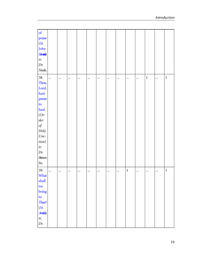| of                        |           |          |           |          |          |          |          |          |             |          |             |           |             |
|---------------------------|-----------|----------|-----------|----------|----------|----------|----------|----------|-------------|----------|-------------|-----------|-------------|
| praise                    |           |          |           |          |          |          |          |          |             |          |             |           |             |
| (St.                      |           |          |           |          |          |          |          |          |             |          |             |           |             |
| John                      |           |          |           |          |          |          |          |          |             |          |             |           |             |
| Danced                    |           |          |           |          |          |          |          |          |             |          |             |           |             |
| $\ensuremath{tr}\xspace.$ |           |          |           |          |          |          |          |          |             |          |             |           |             |
| Dr.                       |           |          |           |          |          |          |          |          |             |          |             |           |             |
| Neale,                    |           |          |           |          |          |          |          |          |             |          |             |           |             |
| 38.                       | $\ddotsc$ | $\cdots$ | $\ddotsc$ | $\cdots$ | $\cdots$ | $\cdots$ | $\cdots$ | $\cdots$ |             |          | $\mathbf 1$ |           | $\mathbf 1$ |
| Thou,                     |           |          |           |          |          |          |          |          |             |          |             |           |             |
| Lord,                     |           |          |           |          |          |          |          |          |             |          |             |           |             |
| hast                      |           |          |           |          |          |          |          |          |             |          |             |           |             |
| power                     |           |          |           |          |          |          |          |          |             |          |             |           |             |
| $\mathsf{to}$             |           |          |           |          |          |          |          |          |             |          |             |           |             |
| heal                      |           |          |           |          |          |          |          |          |             |          |             |           |             |
| $(Or-$                    |           |          |           |          |          |          |          |          |             |          |             |           |             |
| $\det$                    |           |          |           |          |          |          |          |          |             |          |             |           |             |
| $of\;$                    |           |          |           |          |          |          |          |          |             |          |             |           |             |
| Holy                      |           |          |           |          |          |          |          |          |             |          |             |           |             |
| $Unc-$                    |           |          |           |          |          |          |          |          |             |          |             |           |             |
| tion)                     |           |          |           |          |          |          |          |          |             |          |             |           |             |
| tr.                       |           |          |           |          |          |          |          |          |             |          |             |           |             |
| Dr.                       |           |          |           |          |          |          |          |          |             |          |             |           |             |
| $Brown-$                  |           |          |           |          |          |          |          |          |             |          |             |           |             |
| lie,                      |           |          |           |          |          |          |          |          |             |          |             |           |             |
| 39.                       | $\cdots$  |          |           | $\cdots$ | $\cdots$ | $\cdots$ | $\cdots$ |          | $\mathbf 1$ | $\cdots$ | $\cdots$    | $\ddotsc$ | $\mathbf 1$ |
| What                      |           |          |           |          |          |          |          |          |             |          |             |           |             |
| shall                     |           |          |           |          |          |          |          |          |             |          |             |           |             |
| we                        |           |          |           |          |          |          |          |          |             |          |             |           |             |
| bring                     |           |          |           |          |          |          |          |          |             |          |             |           |             |
| to                        |           |          |           |          |          |          |          |          |             |          |             |           |             |
| Thee?                     |           |          |           |          |          |          |          |          |             |          |             |           |             |
| (St.                      |           |          |           |          |          |          |          |          |             |          |             |           |             |
| <b>Antis</b>              |           |          |           |          |          |          |          |          |             |          |             |           |             |
| $\ensuremath{tr}\xspace.$ |           |          |           |          |          |          |          |          |             |          |             |           |             |
| Dr.                       |           |          |           |          |          |          |          |          |             |          |             |           |             |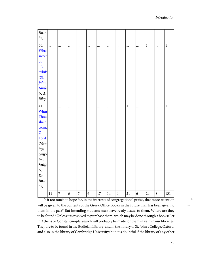| <b>Brown-</b>  |           |                |                  |                |            |           |           |                |             |                  |             |           |              |
|----------------|-----------|----------------|------------------|----------------|------------|-----------|-----------|----------------|-------------|------------------|-------------|-----------|--------------|
| lie,           |           |                |                  |                |            |           |           |                |             |                  |             |           |              |
| 40.            | $\ddotsc$ | $\ddotsc$      | $\ddotsc$        | $\ddotsc$      | $\ddotsc$  | $\ddotsc$ | $\ddotsc$ | $\ddotsc$      | $\cdots$    |                  | $\mathbf 1$ | $\ddotsc$ | $\mathbf 1$  |
| What           |           |                |                  |                |            |           |           |                |             |                  |             |           |              |
| sweet          |           |                |                  |                |            |           |           |                |             |                  |             |           |              |
| $\sigma$ f     |           |                |                  |                |            |           |           |                |             |                  |             |           |              |
| life           |           |                |                  |                |            |           |           |                |             |                  |             |           |              |
| enduch         |           |                |                  |                |            |           |           |                |             |                  |             |           |              |
| (St.           |           |                |                  |                |            |           |           |                |             |                  |             |           |              |
| John           |           |                |                  |                |            |           |           |                |             |                  |             |           |              |
| Danced         |           |                |                  |                |            |           |           |                |             |                  |             |           |              |
| tr. A.         |           |                |                  |                |            |           |           |                |             |                  |             |           |              |
| Riley,         |           |                |                  |                |            |           |           |                |             |                  |             |           |              |
| 41.            | $\ddots$  |                | $\cdots$         |                | $\cdots$   | $\ddotsc$ |           |                | $\mathbf 1$ |                  |             | $\ddotsc$ | $\mathbf{1}$ |
| When           |           |                |                  |                |            |           |           |                |             |                  |             |           |              |
| Thou           |           |                |                  |                |            |           |           |                |             |                  |             |           |              |
| shalt          |           |                |                  |                |            |           |           |                |             |                  |             |           |              |
| come,          |           |                |                  |                |            |           |           |                |             |                  |             |           |              |
| $\overline{O}$ |           |                |                  |                |            |           |           |                |             |                  |             |           |              |
| Lord           |           |                |                  |                |            |           |           |                |             |                  |             |           |              |
| $(M \circ n +$ |           |                |                  |                |            |           |           |                |             |                  |             |           |              |
| ing,           |           |                |                  |                |            |           |           |                |             |                  |             |           |              |
| Sexages-       |           |                |                  |                |            |           |           |                |             |                  |             |           |              |
| ima            |           |                |                  |                |            |           |           |                |             |                  |             |           |              |
| Sinda)         |           |                |                  |                |            |           |           |                |             |                  |             |           |              |
| tr.            |           |                |                  |                |            |           |           |                |             |                  |             |           |              |
| Dr.            |           |                |                  |                |            |           |           |                |             |                  |             |           |              |
| <b>Brown-</b>  |           |                |                  |                |            |           |           |                |             |                  |             |           |              |
| lie,           |           |                |                  |                |            |           |           |                |             |                  |             |           |              |
|                | $11\,$    | $\overline{7}$ | $\boldsymbol{6}$ | $\overline{7}$ | $\sqrt{6}$ | 17        | 14        | $\overline{4}$ | 21          | $\boldsymbol{6}$ | 24          | $\,8\,$   | 131          |

Is it too much to hope for, in the interests of congregational praise, that more attention will be given to the contents of the Greek Office Books in the future than has been given to them in the past? But intending students must have ready access to them. Where are they to be found? Unless it is resolved to purchase them, which may be done through a bookseller in Athens or Constantinople, search will probably be made for them in vain in our libraries. They are to be found in the Bodleian Library, and in the library of St. John's College, Oxford, and also in the library of Cambridge University; but it is doubtful if the library of any other

20

24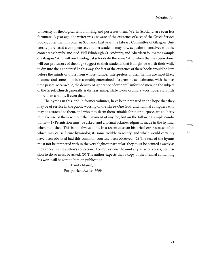26

university or theological school in England possesses them. We, in Scotland, are even less fortunate. A year ago, the writer was unaware of the existence of a set of the Greek Service Books, other than his own, in Scotland. Last year, the Library Committee of Glasgow University purchased a complete set, and her students may now acquaint themselves with the contents as they feel inclined. Will Edinburgh, St. Andrews, and Aberdeen follow the example of Glasgow? And will our theological schools do the same? And when that has been done, will our professors of theology suggest to their students that it might be worth their while to dip into their contents? In this way, the fact of the existence of these books would be kept before the minds of those from whose number interpreters of their hymns are most likely to come, and some hope be reasonably entertained of a growing acquaintance with them as time passes. Meanwhile, the density of ignorance of even well informed men, on the subject of the Greek Church generally, is disheartening, while to our ordinary worshippers it is little more than a name, if even that.

The hymns in this, and in former volumes, have been prepared in the hope that they may be of service in the public worship of the Three-One God, and hymnal compilers who may be attracted to them, and who may deem them suitable for their purpose, are at liberty to make use of them without the payment of any fee, but on the following simple conditions:—(1) Permission must be asked, and a formal acknowledgment made in the hymnal when published. This is not always done. In a recent case, an historical error was set afoot which may cause future hymnologists some trouble to rectify, and which would certainly have been obviated had this common courtesy been observed. (2) The text of the hymns must not be tampered with in the very slightest particular: they must be printed exactly as they appear in the author's collection. If compilers wish to omit any verse or verses, permission to do so must be asked. (3) The author expects that a copy of the hymnal containing his work will be sent to him on publication.

> Trinity Manse, Portpatrick, Easter, 1909.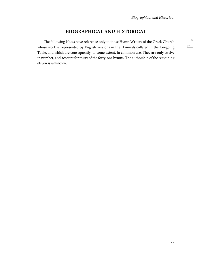#### **BIOGRAPHICAL AND HISTORICAL**

<span id="page-28-0"></span>The following Notes have reference only to those Hymn Writers of the Greek Church whose work is represented by English versions in the Hymnals collated in the foregoing Table, and which are consequently, to some extent, in common use. They are only twelve in number, and account for thirty of the forty-one hymns. The authorship of the remaining eleven is unknown.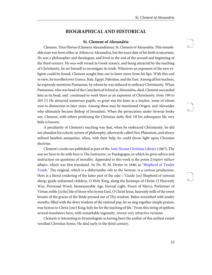30

31

#### **BIOGRAPHICAL AND HISTORICAL**

#### **St. Clement of Alexandria**

<span id="page-29-1"></span><span id="page-29-0"></span>Clemens, Titus Flavius(Clemens Alexandrinus), St. Clement of Alexandria. This remarkable man was born either at Athens or Alexandria, but the exact date of his birth is uncertain. He was a philosopher and theologian, and lived in the end of the second and beginning of the third century. He was well versed in Greek science, and being attracted by the teaching of Christianity, he set himself to investigate its truth. Wherever an exponent of the new religion could be found, Clement sought him out to learn more from his lips. With this end in view, he travelled over Greece, Italy, Egypt, Palestine, and the East. Among all his teachers, he expressly mentions Pantaenus, by whom he was induced to embrace Christianity. When Pantaenus, who was head of the Catechetical School at Alexandria, died, Clement succeeded him as its head, and continued to work there as an exponent of Christianity, from 190 to 203 (?) He attracted numerous pupils, so great was his fame as a teacher, some of whom rose to distinction in later years. Among these may be mentioned Origen, and Alexander who ultimately became Bishop of Jerusalem. When the persecution under Severus broke out, Clement, with others professing the Christian faith, fled. Of his subsequent life very little is known.

A peculiarity of Clement's teaching was that, when he embraced Christianity, he did not abandon his eclectic system of philosophy, afterwards called Neo-Platonism, and always utilized heathen antiquities, when, with their help, he could throw light upon Christian doctrine.

Clement's works are published as part of the [Anti-Nicene Christian Library](http://www.ccel.org/ccel/schaff/anf02.vi.html) (1867). The one we have to do with here is The Instructor, or Paedagogus, in which he gives advice and instruction on questions of morality. Appended to this work is the poem Στομίον πώλων ἀδαῶν, which was first translated by Dr. H. M. Dexter in 1846, as ["Shepherd of Tender](http://ccel.org/ccel/schaff/hcc2.v.vii.viii.html) [Youth.](http://ccel.org/ccel/schaff/hcc2.v.vii.viii.html)" The original, which is a dithyrambic ode to the Saviour, is a curious production. Here is a literal rendering of the latter part of the ode:—"Guide [us] Shepherd of rational sheep; guide unharmed children, O Holy King, along the footsteps of Christ; O Heavenly Way, Perennial Word, Immeasurable Age, Eternal Light, Fount of Mercy, Performer of Virtue; noble [is the] life of those who hymn God, O Christ Jesus, heavenly milk of the sweet breasts of the graces of the Bride pressed out of Thy wisdom. Babes nourished with tender mouths, filled with the dewy wisdom of the rational pap, let us sing together simple praises, true hymns to Christ [our] King, holy fee for the teaching of life." From this string of epithets several translators have, with remarkable ingenuity, woven very attractive versions.

Clement is interesting to hymnologists as having been the author of this earliest extant versified Christian hymn. He died early in the third century.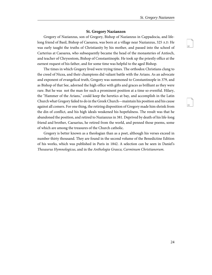33

#### **St. Gregory Nazianzen**

<span id="page-30-0"></span>Gregory of Nazianzus, son of Gregory, Bishop of Nazianzus in Cappadocia, and lifelong friend of Basil, Bishop of Caesarea, was born at a village near Nazianzus, 325 A.D. He was early taught the truths of Christianity by his mother, and passed into the school of Carterius at Caesarea, who subsequently became the head of the monasteries of Antioch, and teacher of Chrysostom, Bishop of Constantinople. He took up the priestly office at the earnest request of his father, and for some time was helpful to the aged Bishop.

The times in which Gregory lived were trying times. The orthodox Christians clung to the creed of Nicea, and their champions did valiant battle with the Arians. As an advocate and exponent of evangelical truth, Gregory was summoned to Constantinople in 379, and as Bishop of that See, adorned the high office with gifts and graces as brilliant as they were rare. But he was not the man for such a prominent position at a time so eventful. Hilary, the "Hammer of the Arians," could keep the heretics at bay, and accomplish in the Latin Church what Gregory failed to do in the Greek Church—maintain his position and his cause against all comers. For one thing, the retiring disposition of Gregory made him shrink from the din of conflict, and his high ideals weakened his hopefulness. The result was that he abandoned the position, and retired to Nazianzus in 381. Deprived by death of his life-long friend and brother, Caesarius, he retired from the world, and penned those poems, some of which are among the treasures of the Church catholic.

Gregory is better known as a theologian than as a poet, although his verses exceed in number thirty thousand. They are found in the second volume of the Benedictine Edition of his works, which was published in Paris in 1842. A selection can be seen in Daniel's Thesaurus Hymnologicus, and in the Anthologia Graeca, Carminum Christianorum.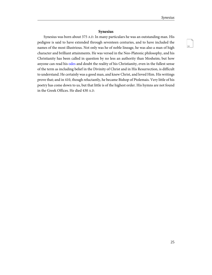#### **Synesius**

<span id="page-31-0"></span>Synesius was born about 375 A.D. In many particulars he was an outstanding man. His pedigree is said to have extended through seventeen centuries, and to have included the names of the most illustrious. Not only was he of noble lineage, he was also a man of high character and brilliant attainments. He was versed in the Neo-Platonic philosophy, and his Christianity has been called in question by no less an authority than Mosheim; but how anyone can read his [odes](http://www.ccel.org/ccel/chatfield/greeksongs.synesius.html) and doubt the reality of his Christianity, even in the fullest sense of the term as including belief in the Divinity of Christ and in His Resurrection, is difficult to understand. He certainly was a good man, and knew Christ, and loved Him. His writings prove that; and in 410, though reluctantly, he became Bishop of Ptolemais. Very little of his poetry has come down to us, but that little is of the highest order. His hymns are not found in the Greek Offices. He died 430 A.D.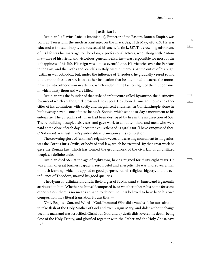36

37

#### **Justinian I.**

<span id="page-32-0"></span>Justinian I. (Flavius Anicius Justinianus), Emperor of the Eastern Roman Empire, was born at Tauresium, the modern Kustenje, on the Black Sea, 11th May, 483 A.D. He was educated at Constantinople, and succeeded his uncle, Justin I., 527. The crowning misfortune of his life was his marriage to Theodora, a professional actress, who, along with Antonina—wife of his friend and victorious general, Belisarius—was responsible for most of the unhappiness of his life. His reign was a most eventful one. His victories over the Persians in the East, and the Goths and Vandals in Italy, were numerous. At the outset of his reign, Justinian was orthodox, but, under the influence of Theodora, he gradually veered round to the monophysite error. It was at her instigation that he attempted to coerce the monophysites into orthodoxy—an attempt which ended in the faction fight of the hippodrome, in which thirty thousand were killed.

Justinian was the founder of that style of architecture called Byzantine, the distinctive features of which are the Greek cross and the cupola. He adorned Constantinople and other cities of his dominions with costly and magnificent churches. In Constantinople alone he built twenty-seven—one of these being St. Sophia, which stands to-day a monument to his enterprise. The St. Sophia of Julian had been destroyed by fire in the insurrection of 532. The re-building occupied six years, and gave work to about ten thousand men, who were paid at the close of each day. It cost the equivalent of £13,000,000. "I have vanquished thee, O Solomon!" was Justinian's pardonable exclamation at its completion.

The crowning glory of Justinian's reign, however, and a lasting monument to his genius, was the Corpus Juris Civilis, or body of civil law, which he executed. By that great work he gave the Roman law, which has formed the groundwork of the civil law of all civilized peoples, a definite code.

Justinian died 565, at the age of eighty-two, having reigned for thirty-eight years. He was a man of great business capacity, resourceful and energetic. He was, moreover, a man of much learning, which he applied to good purpose, but his religious bigotry, and the evil influence of Theodora, marred his good qualities.

The Hymn of Justinian is found in the liturgies of St. Mark and St. James, and is generally attributed to him. Whether he himself composed it, or whether it bears his name for some other reason, there is no means at hand to determine. It is believed to have been his own composition. In a literal translation it runs thus:—

"Only Begotten Son, and Word of God, Immortal Who didst vouchsafe for our salvation to take flesh of the Holy Mother of God and ever Virgin Mary, and didst without change become man, and wast crucified, Christ our God, and by death didst overcome death, being One of the Holy Trinity, and glorified together with the Father and the Holy Ghost, save us."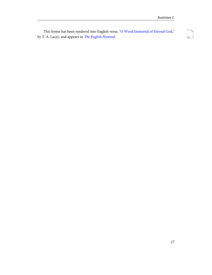This hymn has been rendered into English verse, "[O Word Immortal of Eternal God,](http://ccel.org/ccel/dearmer/englishhymnl/h325.htm)" by T. A. Lacey, and appears in [The English Hymnal](http://ccel.org/ccel/dearmer/englishhymnl/).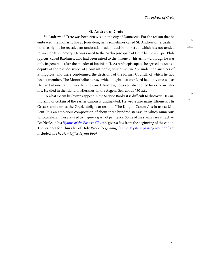40

#### **St. Andrew of Crete**

<span id="page-34-0"></span>St. Andrew of Crete was born 660 A.D., in the city of Damascus. For the reason that he embraced the monastic life at Jerusalem, he is sometimes called St. Andrew of Jerusalem. In his early life he revealed an unchristian lack of decision for truth which has not tended to sweeten his memory. He was raised to the Archiepiscopate of Crete by the usurper Philippicus, called Bardanes, who had been raised to the throne by his army—although he was only its general—after the murder of Justinian II. As Archiepiscopate, he agreed to act as a deputy at the pseudo synod of Constantinople, which met in 712 under the auspices of Philippicus, and there condemned the decisions of the former Council, of which he had been a member. The Monothelite heresy, which taught that our Lord had only one will as He had but one nature, was there restored. Andrew, however, abandoned his error in later life. He died in the island of Hierissus, in the Aegean Sea, about 730 A.D.

To what extent his hymns appear in the Service Books it is difficult to discover. His authorship of certain of the earlier canons is undisputed. He wrote also many Idiomela. His Great Canon, or, as the Greeks delight to term it, "The King of Canons," is in use at Mid Lent. It is an ambitious composition of about three hundred stanzas, in which numerous scriptural examples are used to inspire a spirit of penitence. Some of the stanzas are attractive. Dr. Neale, in his *[Hymns of the Eastern Church](http://ccel.org/ccel/neale/easternhymns)*, gives a few from the beginning of the canon. The stichera for Thursday of Holy Week, beginning, ["O the Mystery passing wonder,](http://ccel.org/ccel/neale/easternhymns.H5.html)" are included in The New Office Hymn Book.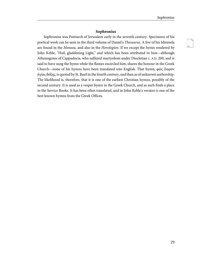#### **Sophronius**

<span id="page-35-0"></span>Sophronius was Patriarch of Jerusalem early in the seventh century. Specimens of his poetical work can be seen in the third volume of Daniel's Thesaurus. A few of his Idiomela are found in the Menaea, and also in the Horologion. If we except the hymn rendered by John Keble, "Hail, gladdening Light," and which has been attributed to him—although Athenogenes of Cappadocia, who suffered martyrdom under Diocletian c. A.D. 200, and is said to have sung the hymn while the flames encircled him, shares the honour in the Greek Church—none of his hymns have been translated into English. That hymn, φῶς ἱλαρὸν ἁγίας δόξης, is quoted by St. Basil in the fourth century, and then as of unknown authorship. The likelihood is, therefore, that it is one of the earliest Christian hymns, possibly of the second century. It is used as a vesper hymn in the Greek Church, and as such finds a place in the Service Books. It has been often translated, and in John Keble's version is one of the best known hymns from the Greek Offices.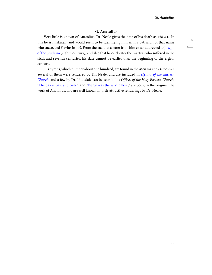#### **St. Anatolius**

Very little is known of Anatolius. Dr. Neale gives the date of his death as 458 A.D. In this he is mistaken, and would seem to be identifying him with a patriarch of that name who succeeded Flavius in 449. From the fact that a letter from him exists addressed to [Joseph](#page-39-0) [of the Studium](#page-39-0) (eighth century), and also that he celebrates the martyrs who suffered in the sixth and seventh centuries, his date cannot be earlier than the beginning of the eighth century.

His hymns, which number about one hundred, are found in the Menaea and Octoechus. Several of them were rendered by Dr. Neale, and are included in [Hymns of the Eastern](http://ccel.org/ccel/neale/easternhymns) [Church](http://ccel.org/ccel/neale/easternhymns); and a few by Dr. Littledale can be seen in his Offices of the Holy Eastern Church. "[The day is past and over](http://ccel.org/ccel/neale/easternhymns.H2.html)," and ["Fierce was the wild billow](http://ccel.org/ccel/neale/easternhymns.H1.html)," are both, in the original, the work of Anatolius, and are well known in their attractive renderings by Dr. Neale.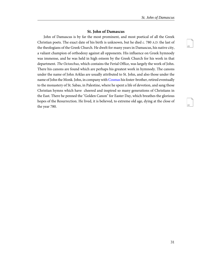44

#### **St. John of Damascus**

<span id="page-37-0"></span>John of Damascus is by far the most prominent, and most poetical of all the Greek Christian poets. The exact date of his birth is unknown, but he died c. 780 A.D. the last of the theologians of the Greek Church. He dwelt for many years in Damascus, his native city, a valiant champion of orthodoxy against all opponents. His influence on Greek hymnody was immense, and he was held in high esteem by the Greek Church for his work in that department. The Octoechus, which contains the Ferial Office, was largely the work of John. There his canons are found which are perhaps his greatest work in hymnody. The canons under the name of John Arklas are usually attributed to St. John, and also those under the name of John the Monk. John, in company with [Cosmas](#page-38-0) his foster-brother, retired eventually to the monastery of St. Sabas, in Palestine, where he spent a life of devotion, and sang those Christian hymns which have cheered and inspired so many generations of Christians in the East. There he penned the "Golden Canon" for Easter Day, which breathes the glorious hopes of the Resurrection. He lived, it is believed, to extreme old age, dying at the close of the year 780.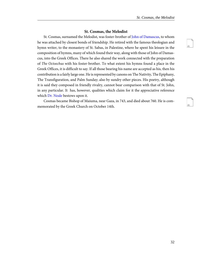46

#### **St. Cosmas, the Melodist**

<span id="page-38-0"></span>St. Cosmas, surnamed the Melodist, was foster-brother of [John of Damascus,](#page-37-0) to whom he was attached by closest bonds of friendship. He retired with the famous theologian and hymn writer, to the monastery of St. Sabas, in Palestine, where he spent his leisure in the composition of hymns, many of which found their way, along with those of John of Damascus, into the Greek Offices. There he also shared the work connected with the preparation of The Octoechus with his foster-brother. To what extent his hymns found a place in the Greek Offices, it is difficult to say. If all those bearing his name are accepted as his, then his contribution is a fairly large one. He is represented by canons on The Nativity, The Epiphany, The Transfiguration, and Palm Sunday; also by sundry other pieces. His poetry, although it is said they composed in friendly rivalry, cannot bear comparison with that of St. John, in any particular. It has, however, qualities which claim for it the appreciative reference which [Dr. Neale](http://ccel.org/ccel/neale/easternhymns.cosmas.html) bestows upon it.

Cosmas became Bishop of Maiuma, near Gaza, in 743, and died about 760. He is commemorated by the Greek Church on October 14th.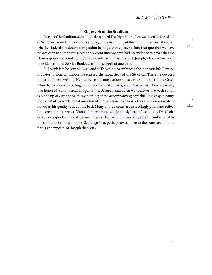48

#### **St. Joseph of the Studium**

<span id="page-39-0"></span>Joseph of the Studium, sometimes designated The Hymnographer, was born on the island of Sicily, in the end of the eighth century, or the beginning of the ninth. It has been disputed whether indeed the double designation belongs to one person. Into that question we have no occasion to enter here. Up to the present time we have had no evidence to prove that the Hymnographer was not of the Studium, and that the hymns of St. Joseph, which are so much in evidence in the Service Books, are not the work of one writer.

St. Joseph left Sicily in 830 A.D., and at Thessalonica embraced the monastic life. Removing later to Constantinople, he entered the monastery of the Studium. There he devoted himself to hymn writing. He was by far the most voluminous writer of hymns of the Greek Church, his verses exceeding in number those of [St. Gregory of Nazianzus](#page-30-0). There are nearly two hundred canons from his pen in the *Menaea*, and when we consider that each canon is made up of eight odes, to say nothing of the accompanying contakia, it is easy to gauge the extent of his work in that one class of composition. Like most other voluminous writers, however, his quality is not of the best. Many of the canons are exceedingly poor, and reflect little credit on the writer. "[Stars of the morning, so gloriously bright,](http://ccel.org/ccel/neale/easternhymns.H44.html)" a cento by Dr. Neale, gives a very good sample of his use of figure. ["Far from Thy heavenly care,](http://www.ccel.org/ccel/brownlie/earlyhymns.H66.html)" a contakion after the sixth ode of the canon for Septuagesima, perhaps owes more to the translator than at first sight appears. St. Joseph died, 883.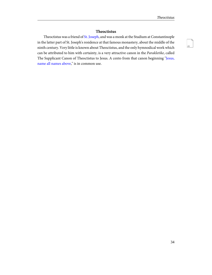### **Theoctistus**

Theoctistuswas a friend of [St. Joseph](#page-39-0), and was a monk at the Studium at Constantinople in the latter part of St. Joseph's residence at that famous monastery, about the middle of the ninth century. Very little is known about Theoctistus, and the only hymnodical work which can be attributed to him with certainty, is a very attractive canon in the Parakletike, called The Supplicant Canon of Theoctistus to Jesus. A cento from that canon beginning ["Jesus,](http://ccel.org/ccel/neale/easternhymns.H53.html) [name all names above,](http://ccel.org/ccel/neale/easternhymns.H53.html)" is in common use.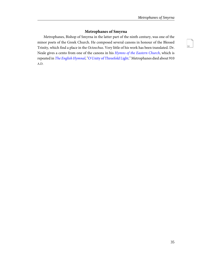## **Metrophanes of Smyrna**

Metrophanes, Bishop of Smyrna in the latter part of the ninth century, was one of the minor poets of the Greek Church. He composed several canons in honour of the Blessed Trinity, which find a place in the Octoechus. Very little of his work has been translated. Dr. Neale gives a cento from one of the canons in his [Hymns of the Eastern Church](http://ccel.org/ccel/neale/easternhymns), which is repeated in [The English Hymnal](http://ccel.org/ccel/dearmer/englishhymnl/), ["O Unity of Threefold Light](http://ccel.org/ccel/neale/easternhymns.H54.html)." Metrophanes died about 910 A.D.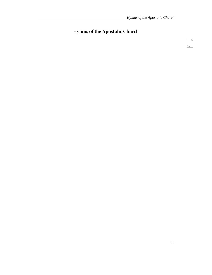## **Hymns of the Apostolic Church**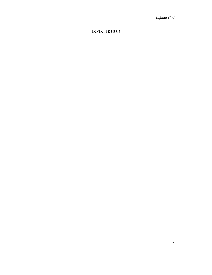**INFINITE GOD**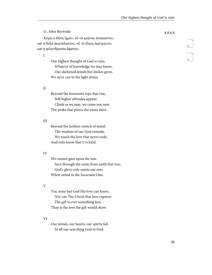Κύριε ὁ Θεὸς ἡμῶν, οὗ τὸ κράτος ἀνείκαστον, καὶ ἡ δόξα ἀκατάληπτος, οὗ τὸ ἔλεος ἀμέτρητον, καὶ ἡ φιλανθρωπία ἄφατος·

I

Our highest thought of God is vain; Whate'er of knowledge we may know, Our darkened minds but darker grow, We ne'er can to the light attain.

#### II

Beyond the mountain tops that rise, Still higher altitudes appear; Climb as we may, we come not near The peaks that pierce the azure skies.

#### III

Beyond the farthest stretch of mind, The wisdom of our God extends; We touch the love that never ends, And only know that it is kind.

#### IV

We cannot gaze upon the sun, Save through the mists from earth that rise; God's glory only meets our eyes When veiled in the Incarnate One.

### V

Yea, none but God His love can know, Nor can The Christ that love express; The gift is ever something less, Than is the love the gift would show.

### VI

Our minds, our hearts, our spirits fail In all our searching God to find;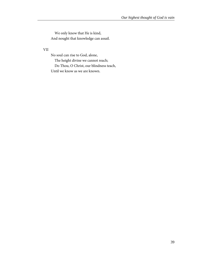We only know that He is kind, And nought that knowledge can assail.

VII

No soul can rise to God, alone,

The height divine we cannot reach;

Do Thou, O Christ, our blindness teach,

Until we know as we are known.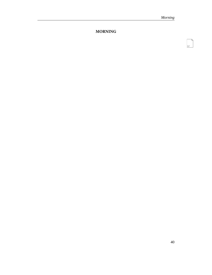## **MORNING**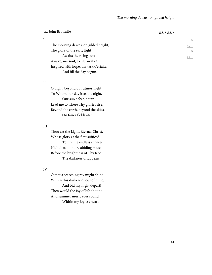I

The morning dawns; on gilded height, The glory of the early light Awaits the rising sun; Awake, my soul, to life awake! Inspired with hope, thy task o'ertake, And fill the day begun.

II

O Light, beyond our utmost light, To Whom our day is as the night, Our sun a feeble star; Lead me to where Thy glories rise, Beyond the earth, beyond the skies, On fairer fields afar.

### III

Thou art the Light, Eternal Christ, Whose glory at the first sufficed To fire the endless spheres; Night has no more abiding place, Before the brightness of Thy face The darkness disappears.

IV

O that a searching ray might shine Within this darkened soul of mine, And bid my night depart! Then would the joy of life abound, And summer music ever sound Within my joyless heart.

59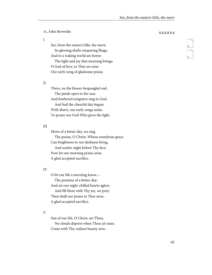I

See, from the eastern hills, the morn Its glowing shafts unsparing flings; And to a waking world are borne The light and joy that morning brings: O God of love, to Thee we raise Our early song of gladsome praise.

II

There, on the flower-bespangled sod, The petals open to the sun; And feathered songsters sing to God, And hail the cheerful day begun: With theirs, our early songs unite, To praise our God Who gives the light.

#### III

Morn of a better day, we sing Thy praise, O Christ, Whose wondrous grace Can brightness to our darkness bring, And scatter night before Thy face: Now let our morning praise arise, A glad accepted sacrifice.

#### IV

O let our life a morning know,— The promise of a better day; And set our night-chilled hearts aglow, And fill them with Thy joy, we pray: Then shall our praise to Thee arise, A glad accepted sacrifice.

#### V

Sun of our life, O Christ, art Thou; No clouds depress when Thou art near; Come with Thy radiant beauty now,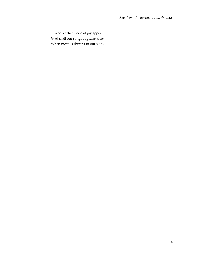And let that morn of joy appear: Glad shall our songs of praise arise When morn is shining in our skies.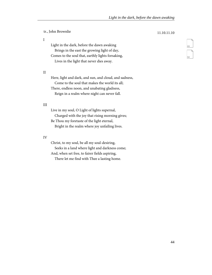tr., John Brownlie 11.10.11.10 Light in the dark, before the dawn awaking Brings in the east the growing light of day, Comes to the soul that, earthly lights forsaking, Lives in the light that never dies away.

#### II

I

Here, light and dark, and sun, and cloud, and sadness, Come to the soul that makes the world its all; There, endless noon, and unabating gladness, Reign in a realm where night can never fall.

#### III

Live in my soul, O Light of lights supernal, Charged with the joy that rising morning gives; Be Thou my foretaste of the light eternal, Bright in the realm where joy unfailing lives.

#### IV

Christ, to my soul, be all my soul-desiring, Seeks in a land where light and darkness come; And, when set free, to fairer fields aspiring, There let me find with Thee a lasting home.

63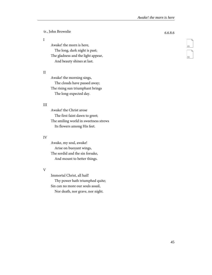### I

Awake! the morn is here, The long, dark night is past; The gladness and the light appear, And beauty shines at last.

#### II

Awake! the morning sings, The clouds have passed away; The rising sun triumphant brings The long-expected day.

#### III

Awake! the Christ arose The first faint dawn to greet; The smiling world in sweetness strews Its flowers among His feet.

#### IV

Awake, my soul, awake! Arise on buoyant wings, The sordid and the sin forsake, And mount to better things.

#### V

Immortal Christ, all hail! Thy power hath triumphed quite; Sin can no more our souls assail,

Nor death, nor grave, nor night.

65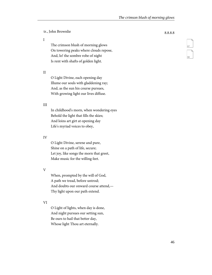I

The crimson blush of morning glows On towering peaks where clouds repose, And, lo! the sombre robe of night Is rent with shafts of golden light.

II

O Light Divine, each opening day Illume our souls with gladdening ray; And, as the sun his course pursues, With growing light our lives diffuse.

#### III

In childhood's morn, when wondering eyes Behold the light that fills the skies; And loins art girt at opening day Life's myriad voices to obey,

#### IV

O Light Divine, serene and pure, Shine on a path of life, secure; Let joy, like songs the morn that greet, Make music for the willing feet.

V

When, prompted by the will of God, A path we tread, before untrod; And doubts our onward course attend,— Thy light upon our path extend.

#### VI

O Light of lights, when day is done, And night pursues our setting sun, Be ours to hail that better day, Whose light Thou art eternally.

67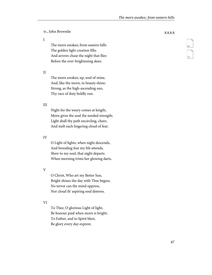I

The morn awakes; from eastern hills The golden light creation fills; And arrows chase the night that flies Before the ever-brightening skies.

II

The morn awakes; up, soul of mine, And, like the morn, in beauty shine; Strong, as the high-ascending sun, Thy race of duty boldly run.

#### III

Night for the weary comes at length; Morn gives the soul the needed strength; Light shall thy path encircling, cheer, And melt each lingering cloud of fear.

#### IV

O Light of lights, when night descends, And brooding fear my life attends, Shew to my soul, that night departs When morning trims her glowing darts.

V

O Christ, Who art my Better Sun, Bright shines the day with Thee begun; No terror can the mind oppress, Nor cloud th' aspiring soul distress.

### VI

To Thee, O glorious Light of light, Be honour paid when morn is bright; To Father, and to Spirit blest, Be glory every day exprest.

69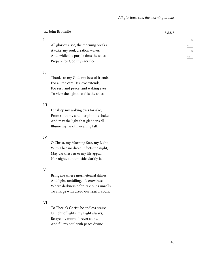I

All glorious, see, the morning breaks; Awake, my soul, creation wakes: And, while the purple tints the skies, Prepare for God thy sacrifice.

II

Thanks to my God, my best of friends, For all the care His love extends; For rest, and peace, and waking eyes To view the light that fills the skies.

#### III

Let sleep my waking eyes forsake; From sloth my soul her pinions shake; And may the light that gladdens all Illume my task till evening fall.

#### IV

O Christ, my Morning Star, my Light, With Thee no dread infects the night; May darkness ne'er my life appal, Nor night, at noon-tide, darkly fall.

V

Bring me where morn eternal shines, And light, unfailing, life entwines; Where darkness ne'er its clouds unrolls To charge with dread our fearful souls.

#### VI

To Thee, O Christ, be endless praise, O Light of lights, my Light always; Be aye my morn, forever shine, And fill my soul with peace divine.

71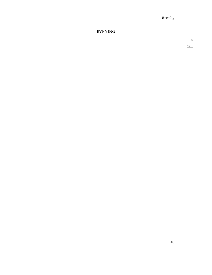**EVENING**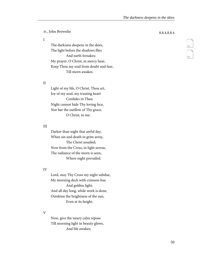I

The darkness deepens in the skies, The light before the shadows flies And earth forsakes; My prayer, O Christ, in mercy hear, Keep Thou my soul from doubt and fear, Till morn awakes.

#### II

Light of my life, O Christ, Thou art, Joy of my soul, my trusting heart Confides in Thee; Night cannot hide Thy loving face, Nor bar the outflow of Thy grace, O Christ, to me.

#### III

Darker than night that awful day, When sin and death in grim array, The Christ assailed; Now from the Cross, in light serene, The radiance of the morn is seen, Where night prevailed.

#### IV

Lord, may Thy Cross my night subdue, My morning deck with crimson hue And golden light; And all day long, while work is done, Outshine the brightness of the sun, Even at its height.

#### V

Now, give the weary calm repose Till morning light in beauty glows, And life awakes;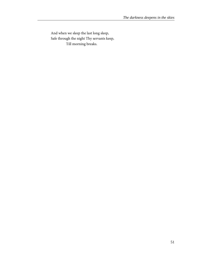And when we sleep the last long sleep, Safe through the night Thy servants keep, Till morning breaks.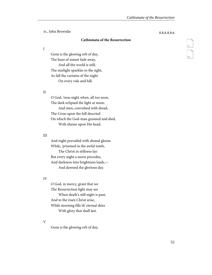#### **Cathismata of the Resurrection**

I

Gone is the glowing orb of day, The hues of sunset fade away, And all the world is still; The starlight sparkles to the sight, As fall the curtains of the night On every vale and hill.

#### II

O God, 'twas night when, all too soon, The dark eclipsed the light at noon; And men, convulsed with dread, The Cross upon the hill descried On which the God-man groaned and died, With shame upon His head.

#### III

And night prevailed with dismal gloom While, 'prisoned in the awful tomb, The Christ in stillness lay: But every night a morn precedes, And darkness into brightness leads,— And dawned the glorious day.

#### IV

O God, in mercy, grant that we The Resurrection light may see When death's still night is past; And to the risen Christ arise, While morning fills th' eternal skies With glory that shall last.

#### V

Gone is the glowing orb of day,

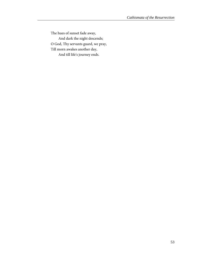The hues of sunset fade away, And dark the night descends; O God, Thy servants guard, we pray, Till morn awakes another day, And till life's journey ends.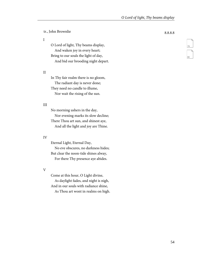I

O Lord of light, Thy beams display, And waken joy in every heart; Bring to our souls the light of day, And bid our brooding night depart.

II

In Thy fair realm there is no gloom, The radiant day is never done; They need no candle to illume, Nor wait the rising of the sun.

#### III

No morning ushers in the day, Nor evening marks its slow decline; There Thou art sun, and shinest aye, And all the light and joy are Thine.

#### IV

Eternal Light, Eternal Day, No eve obscures, no darkness hides; But clear the noon-tide shines alway, For there Thy presence aye abides.

V

Come at this hour, O Light divine, As daylight fades, and night is nigh, And in our souls with radiance shine,

As Thou art wont in realms on high.

79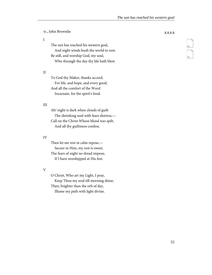I

The sun has reached his western goal, And night winds hush the world to rest; Be still, and worship God, my soul, Who through the day thy life hath blest.

II

To God thy Maker, thanks accord, For life, and hope, and every good, And all the comfort of the Word Incarnate, for the spirit's food.

#### III

Ah! night is dark when clouds of guilt The shrinking soul with fears distress,— Call on the Christ Whose blood was spilt, And all thy guiltiness confess.

#### IV

Then let me rest in calm repose,— Secure in Him, my rest is sweet; The fears of night no dread impose, If I have worshipped at His feet.

#### V

O Christ, Who art my Light, I pray, Keep Thou my soul till morning shine; Then, brighter than the orb of day, Illume my path with light divine.

81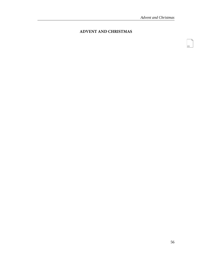## **ADVENT AND CHRISTMAS**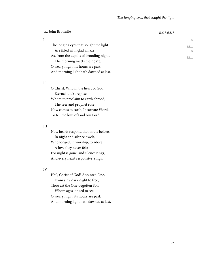I

The longing eyes that sought the light Are filled with glad amaze, As, from the depths of brooding night, The morning meets their gaze; O weary night! its hours are past, And morning light hath dawned at last.

II

O Christ, Who in the heart of God, Eternal, did'st repose; Whom to proclaim to earth abroad, The seer and prophet rose; Now comes to earth, Incarnate Word, To tell the love of God our Lord.

#### III

Now hearts respond that, mute before, In night and silence dwelt,— Who longed, in worship, to adore A love they never felt; For night is gone, and silence rings, And every heart responsive, sings.

#### IV

Hail, Christ of God! Anointed One, From sin's dark night to free; Thou art the One-begotten Son Whom ages longed to see; O weary night, its hours are past, And morning light hath dawned at last.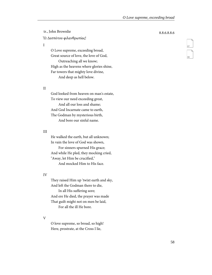tr., John Brownlie 8.8.6.8.8.6 Ὢ Δεσπότου φιλανθρωπίας!

I

O Love supreme, exceeding broad, Great source of love, the love of God, Outreaching all we know; High as the heavens where glories shine, Far towers that mighty love divine, And deep as hell below.

#### II

God looked from heaven on man's estate, To view our need exceeding great, And all our loss and shame; And God Incarnate came to earth, The Godman by mysterious birth, And bore our sinful name.

#### III

He walked the earth, but all unknown; In vain the love of God was shown, For sinners spurned His grace; And while He pled, they mocking cried, "Away, let Him be crucified," And mocked Him to His face.

#### IV

They raised Him up 'twixt earth and sky, And left the Godman there to die, In all His suffering sore; And ere He died, the prayer was made That guilt might not on men be laid, For all the ill He bore.

V

O love supreme, so broad, so high! Here, prostrate, at the Cross I lie,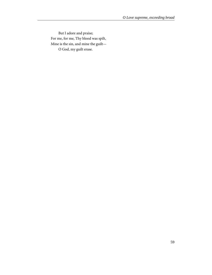But I adore and praise; For me, for me, Thy blood was spilt, Mine is the sin, and mine the guilt— O God, my guilt erase.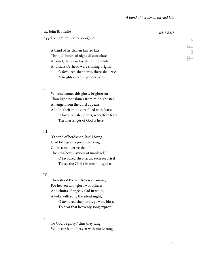ἄγγελοι μετὰ ποιμένων δοξάζουσι.

I

A band of herdsmen tarried late, Through hours of night disconsolate; Around, the snow lay glistening white, And stars o'erhead were shining bright;

> O favoured shepherds, there shall rise A brighter star in yonder skies.

II

Whence comes this glory, brighter far Than light that shines from midnight star? An angel from the Lord appears, And lo! their minds are filled with fears; O favoured shepherds, wherefore fear? The messenger of God is here.

#### III

"O band of herdsmen, list! I bring Glad tidings of a promised King; Go, in a manger ye shall find The new-born Saviour of mankind;" O favoured shepherds, such surprise!

To see the Christ in mean disguise.

#### IV

Then stood the herdsmen all amaze, For heaven with glory was ablaze; And choirs of angels, clad in white, Awoke with song the silent night;

> O favoured shepherds, ye were blest, To hear that heavenly song exprest.

#### V

To God be glory," thus they sang, While earth and heaven with music rang;

# 89 90<br>91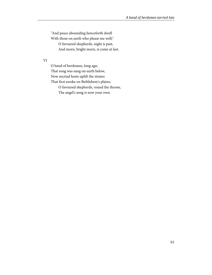"And peace abounding henceforth dwell

With those on earth who please me well;"

O favoured shepherds, night is past,

And morn, bright morn, is come at last.

#### VI

O band of herdsmen, long ago, That song was sung on earth below, Now myriad hosts uplift the strains That first awoke on Bethlehem's plains; O favoured shepherds, round the throne,

The angel's song is now your own.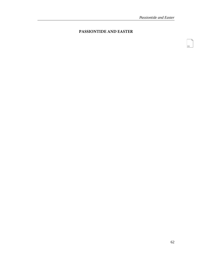## **PASSIONTIDE AND EASTER**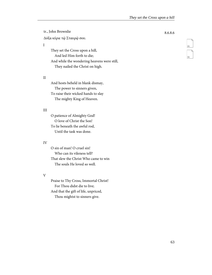tr., John Brownlie 8.6.8.6 Δόξα κύριε τῷ Σταυρῷ σου.

#### I

They set the Cross upon a hill, And led Him forth to die; And while the wondering heavens were still, They nailed the Christ on high.

#### II

And hosts beheld in blank dismay, The power to sinners given, To raise their wicked hands to slay The mighty King of Heaven.

#### III

O patience of Almighty God! O love of Christ the Son! To lie beneath the awful rod, Until the task was done.

#### IV

O sin of man! O cruel sin! Who can its vileness tell? That slew the Christ Who came to win The souls He loved so well.

#### V

Praise to Thy Cross, Immortal Christ! For Thou didst die to live; And that the gift of life, unpriced, Thou mightst to sinners give.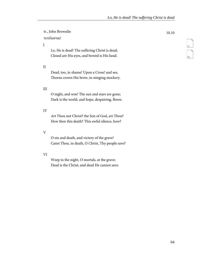## tr., John Brownlie 10.10

## τετέλεσται!

### I

Lo, He is dead! The suffering Christ is dead; Closed are His eyes, and bowèd is His head.

#### II

Dead, too, in shame! Upon a Cross! and see, Thorns crown His brow, in stinging mockery.

#### III

O night, and woe! The sun and stars are gone; Dark is the world, and hope, despairing, flown.

#### IV

Art Thou not Christ? the Son of God, art Thou? How then this death? This awful silence, how?

#### V

O sin and death, and victory of the grave! Canst Thou, in death, O Christ, Thy people save?

#### VI

Weep in the night, O mortals, at the grave; Dead is the Christ, and dead He cannot save.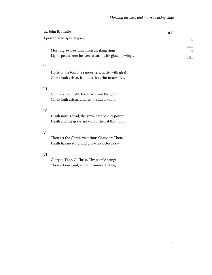tr., John Brownlie 10.10

Χριστὸς ἀνέστη ἐκ νεκρῶν.

#### I

Morning awakes, and morn awaking sings; Light speeds from heaven to earth with glowing wings.

#### II

Haste to the tomb! Ye mourners, haste, with glee! Christ hath arisen, from death's grim fetters free.

#### III

Gone are the night, the terror, and the gloom; Christ hath arisen, and left the awful tomb.

#### IV

Death now is dead, the grave hath lost its power; Death and the grave are vanquished at this hour.

#### V

Thou art the Christ, victorious Christ art Thou, Death has no sting, and grave no victory now.

#### VI

Glory to Thee, O Christ, Thy people bring; Thou art our God, and our Immortal King.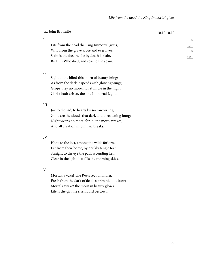tr., John Brownlie 10.10.10.10

I

Life from the dead the King Immortal gives, Who from the grave arose and ever lives; Slain is the foe, the foe by death is slain, By Him Who died, and rose to life again.

II

Sight to the blind this morn of beauty brings, As from the dark it speeds with glowing wings; Grope they no more, nor stumble in the night; Christ hath arisen, the one Immortal Light.

### III

Joy to the sad, to hearts by sorrow wrung; Gone are the clouds that dark and threatening hung; Night weeps no more, for lo! the morn awakes, And all creation into music breaks.

### IV

Hope to the lost, among the wilds forlorn, Far from their home, by prickly tangle torn; Straight to the eye the path ascending lies, Clear in the light that fills the morning skies.

V

Mortals awake! The Resurrection morn, Fresh from the dark of death's grim night is born; Mortals awake! the morn in beauty glows; Life is the gift the risen Lord bestows.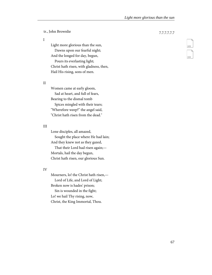tr., John Brownlie 7.7.7.7.7.7

I

Light more glorious than the sun, Dawns upon our fearful night; And the longed for day, begun, Pours its everlasting light; Christ hath risen, with gladness, then, Hail His rising, sons of men.

II

Women came at early gloom, Sad at heart, and full of fears, Bearing to the dismal tomb Spices mingled with their tears; "Wherefore weep?" the angel said, "Christ hath risen from the dead."

### III

Lone disciples, all amazed, Sought the place where He had lain; And they knew not as they gazed, That their Lord had risen again;— Mortals, hail the day begun, Christ hath risen, our glorious Sun.

### IV

Mourners, lo! the Christ hath risen,— Lord of Life, and Lord of Light; Broken now is hades' prison; Sin is wounded in the fight; Lo! we hail Thy rising, now, Christ, the King Immortal, Thou.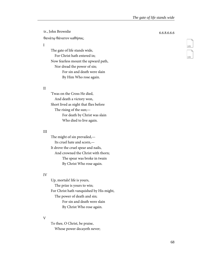tr., John Brownlie 6.6.8.6.6.6 θανάτῳ θάνατον καθήσας.

I

The gate of life stands wide, For Christ hath entered in; Now fearless mount the upward path, Nor dread the power of sin; For sin and death were slain By Him Who rose again.

### II

'Twas on the Cross He died, And death a victory won, Short lived as night that flies before The rising of the sun;— For death by Christ was slain Who died to live again.

## III

The might of sin prevailed,— Its cruel hate and scorn,— It drove the cruel spear and nails, And crowned the Christ with thorn; The spear was broke in twain By Christ Who rose again.

### IV

Up, mortals! life is yours, The prize is yours to win; For Christ hath vanquished by His might, The power of death and sin; For sin and death were slain By Christ Who rose again.

## V

To thee, O Christ, be praise, Whose power decayeth never;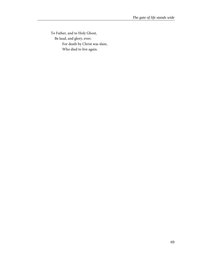To Father, and to Holy Ghost, Be laud, and glory, ever; For death by Christ was slain, Who died to live again.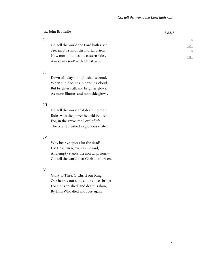I

Go, tell the world the Lord hath risen, See, empty stands the mortal prison; Now morn illumes the eastern skies, Awake my soul! with Christ arise.

II

Dawn of a day no night shall shroud, When sun declines in darkling cloud; But brighter still, and brighter glows, As morn illumes and noontide glows.

### III

Go, tell the world that death no more Rules with the power he held before; For, in the grave, the Lord of life The tyrant crushed in glorious strife.

### IV

Why bear ye spices for the dead? Lo! He is risen, even as He said, And empty stands the mortal prison,— Go, tell the world that Christ hath risen.

V

Glory to Thee, O Christ our King, Our hearts, our songs, our voices bring; For sin is crushed, and death is slain, By Him Who died and rose again.

107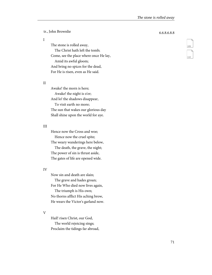tr., John Brownlie 6.6.8.6.8.8

### I

The stone is rolled away, The Christ hath left the tomb; Come, see the place where once He lay, Amid its awful gloom; And bring no spices for the dead, For He is risen, even as He said.

### II

Awake! the morn is here; Awake! the night is o'er; And lo! the shadows disappear, To visit earth no more; The sun that wakes our glorious day Shall shine upon the world for aye.

### III

Hence now the Cross and woe; Hence now the cruel spite; The weary wanderings here below, The death, the grave, the night; The power of sin is thrust aside, The gates of life are opened wide.

### IV

Now sin and death are slain; The grave and hades groan; For He Who died now lives again, The triumph is His own; No thorns afflict His aching brow, He wears the Victor's garland now.

V

Hail! risen Christ, our God, The world rejoicing sings; Proclaim the tidings far abroad,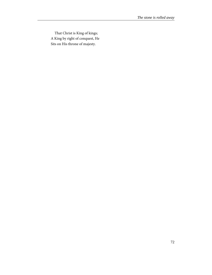That Christ is King of kings; A King by right of conquest, He Sits on His throne of majesty.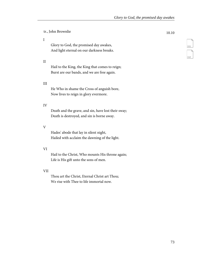tr., John Brownlie 10.10

### I

Glory to God, the promised day awakes, And light eternal on our darkness breaks.

### II

Hail to the King, the King that comes to reign; Burst are our bands, and we are free again.

### III

He Who in shame the Cross of anguish bore, Now lives to reign in glory evermore.

## IV

Death and the grave, and sin, have lost their sway; Death is destroyed, and sin is borne away.

### V

Hades' abode that lay in silent night, Hailed with acclaim the dawning of the light.

## VI

Hail to the Christ, Who mounts His throne again; Life is His gift unto the sons of men.

### VII

Thou art the Christ, Eternal Christ art Thou; We rise with Thee to life immortal now.

111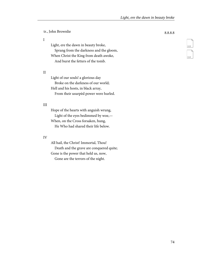I

Light, ere the dawn in beauty broke, Sprang from the darkness and the gloom, When Christ the King from death awoke, And burst the fetters of the tomb.

### II

Light of our souls! a glorious day Broke on the darkness of our world; Hell and his hosts, in black array, From their usurpèd power were hurled.

### III

Hope of the hearts with anguish wrung, Light of the eyes bedimmed by woe,— When, on the Cross forsaken, hung, He Who had shared their life below.

### IV

All hail, the Christ! Immortal, Thou! Death and the grave are conquered quite; Gone is the power that held us, now, Gone are the terrors of the night.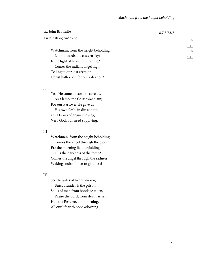tr., John Brownlie 8.7.8.7.8.8 ἐπὶ τῆς θείας φυλακῆς.

I

Watchman, from the height beholding, Look towards the eastern sky; Is the light of heaven unfolding? Comes the radiant angel nigh, Telling to our lost creation

Christ hath risen for our salvation?

### II

Yea, He came to earth to save us,— As a lamb, the Christ was slain; For our Passover He gave us His own flesh, in direst pain; On a Cross of anguish dying, Very God, our need supplying.

## III

Watchman, from the height beholding, Comes the angel through the gloom, Ere the morning light unfolding Fills the darkness of the tomb? Comes the angel through the sadness, Waking souls of men to gladness?

### IV

See the gates of hades shaken; Burst asunder is the prison; Souls of men from bondage taken, Praise the Lord, from death arisen; Hail the Resurrection morning,

All our life with hope adorning.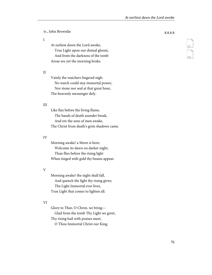I

At earliest dawn the Lord awoke, True Light upon our dismal gloom, And from the darkness of the tomb Arose ere yet the morning broke.

II

Vainly the watchers lingered nigh: No watch could stay immortal power, Nor stone nor seal at that great hour, The heavenly messenger defy.

### III

Like flax before the living flame, The bands of death asunder break, And ere the sons of men awake, The Christ from death's grim shadows came.

### IV

Morning awake! a Morn is here; Welcome its dawn on darker night, Than flies before the rising light When tinged with gold thy beams appear.

### V

Morning awake! the night shall fall, And quench the light thy rising gives; The Light Immortal ever lives, True Light that comes to lighten all.

### VI

Glory to Thee, O Christ, we bring— Glad from the tomb Thy Light we greet, Thy rising hail with praises meet, O Thou Immortal Christ our King.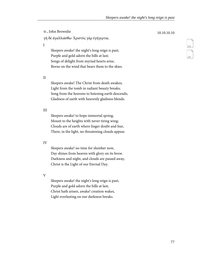tr., John Brownlie 10.10.10.10 γῆ δὲ ἀγαλλιάσθω· Χριστὸς γὰρ ἐγήγερται.

I

Sleepers awake! the night's long reign is past; Purple and gold adorn the hills at last; Songs of delight from myriad hearts arise, Borne on the wind that bears them to the skies.

II

Sleepers awake! The Christ from death awakes; Light from the tomb in radiant beauty breaks; Song from the heavens to listening earth descends; Gladness of earth with heavenly gladness blends.

### III

Sleepers awake! to hope immortal spring, Mount to the heights with never tiring wing; Clouds are of earth where linger doubt and fear, There, in the light, no threatening clouds appear.

### IV

Sleepers awake! no time for slumber now, Day shines from heaven with glory on its brow. Darkness and night, and clouds are passed away, Christ is the Light of our Eternal Day.

V

Sleepers awake! the night's long reign is past; Purple and gold adorn the hills at last; Christ hath arisen, awake! creation wakes, Light everlasting on our darkness breaks.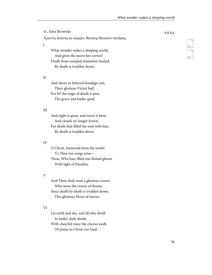121

122

tr., John Brownlie 8.6.8.6 Χριστὸς ἀνέστη ἐκ νεκρῶν, θανάτῳ θάνατον πατήσας. I What wonder wakes a sleeping world, And gives the morn her crown? Death from usurped dominion hurled,

II

And slaves in fettered bondage cast, Their glorious Victor hail, For lo! the reign of death is past, The grave and hades quail.

By death is trodden down.

### III

And night is gone, and morn is here, And clouds no longer frown; For death that filled the soul with fear, By death is trodden down.

### IV

O Christ, Immortal from the tomb! To Thee our songs arise— Thou, Who hast filled our dismal gloom With light of Paradise.

### V

And Thou shalt wear a glorious crown, Who wore the crown of thorns, Since death by death is trodden down, This glorious Morn of morns.

## VI

Let earth and sky, and all who dwell In hades' dark abode, With cheerful voice the chorus swell, Of praise to Christ our God.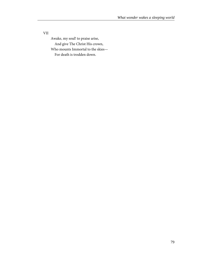VII

Awake, my soul! to praise arise, And give The Christ His crown, Who mounts Immortal to the skies—

For death is trodden down.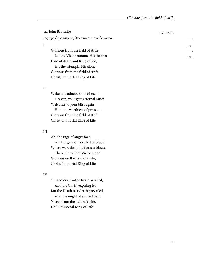tr., John Brownlie 7.7.7.7.7.7 ὡς ἠγέρθη ὁ κύριος, θανατώσας τὸν θάνατον. I Glorious from the field of strife, Lo! the Victor mounts His throne; Lord of death and King of life,

His the triumph, His alone— Glorious from the field of strife, Christ, Immortal King of Life.

II

Wake to gladness, sons of men! Heaven, your gates eternal raise! Welcome to your bliss again Him, the worthiest of praise,— Glorious from the field of strife, Christ, Immortal King of Life.

### III

Ah! the rage of angry foes, Ah! the garments rolled in blood; Where were dealt the fiercest blows, There the valiant Victor stood— Glorious on the field of strife, Christ, Immortal King of Life.

### IV

Sin and death—the twain assailed, And the Christ expiring fell; But the Death o'er death prevailed, And the might of sin and hell; Victor from the field of strife, Hail! Immortal King of Life.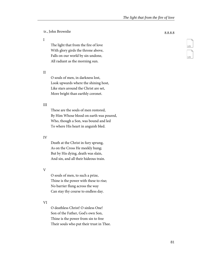I

The light that from the fire of love With glory girds the throne above, Falls on our world by sin undone, All radiant as the morning sun.

II

O souls of men, in darkness lost, Look upwards where the shining host, Like stars around the Christ are set, More bright than earthly coronet.

### III

These are the souls of men restored, By Him Whose blood on earth was poured, Who, though a Son, was bound and led To where His heart in anguish bled.

### IV

Death at the Christ in fury sprung, As on the Cross He meekly hung; But by His dying, death was slain, And sin, and all their hideous train.

### V

O souls of men, to such a prize, Thine is the power with these to rise; No barrier flung across the way Can stay thy course to endless day.

## VI

O deathless Christ! O sinless One! Son of the Father, God's own Son, Thine is the power from sin to free Their souls who put their trust in Thee.

25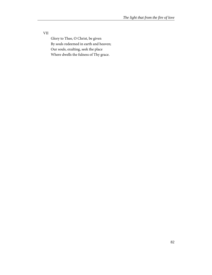VII

Glory to Thee, O Christ, be given By souls redeemed in earth and heaven; Our souls, exulting, seek the place Where dwells the fulness of Thy grace.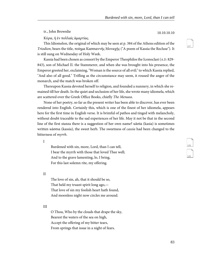tr., John Brownlie 10.10.10.10

Κύριε, ἠ ἐν πολλαῖς ἁμαρτίας.

This Idiomelon, the original of which may be seen at p. 384 of the Athens edition of the Triodion, bears the title, ποίημα Κασσιαννῆς Μοναχῆς ("A poem of Kassia the Recluse"). It is still sung on Wednesday of Holy Week.

Kassia had been chosen as consort by the Emperor Theophilos the Iconoclast (A.D. 829- 843), son of Michael II. the Stammerer, and when she was brought into his presence, the Emperor greeted her, exclaiming, "Woman is the source of all evil;" to which Kassia replied, "And also of all good." Trifling as the circumstance may seem, it roused the anger of the monarch, and the match was broken off.

Thereupon Kassia devoted herself to religion, and founded a nunnery, in which she remained till her death. In the quiet and seclusion of her life, she wrote many idiomela, which are scattered over the Greek Office Books, chiefly The Menaea.

None of her poetry, so far as the present writer has been able to discover, has ever been rendered into English. Certainly this, which is one of the finest of her idiomela, appears here for the first time in English verse. It is brimful of pathos and tinged with melancholy, without doubt traceable to the sad experiences of her life. May it not be that in the second line of the first stanza there is a suggestion of her own name? κᾰσία (kasia) is sometimes written κάσσια (kassia), the sweet herb. The sweetness of cassia had been changed to the bitterness of myrrh.

I

Burdened with sin, more, Lord, than I can tell, I bear the myrrh with those that loved Thee well; And to the grave lamenting, lo, I bring, For this last solemn rite, my offering.

II

The love of sin, ah, that it should be so, That held my truant spirit long ago,— That love of sin my foolish heart hath found, And moonless night now circles me around.

### III

O Thou, Who by the clouds that drape the sky, Bearest the waters of the sea on high, Accept the offering of my bitter tears, From springs that issue in a night of fears.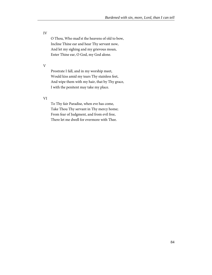IV

O Thou, Who mad'st the heavens of old to bow, Incline Thine ear and hear Thy servant now, And let my sighing and my grievous moan, Enter Thine ear, O God, my God alone.

V

Prostrate I fall, and in my worship meet, Would kiss amid my tears Thy stainless feet, And wipe them with my hair, that by Thy grace, I with the penitent may take my place.

VI

To Thy fair Paradise, when eve has come, Take Thou Thy servant in Thy mercy home; From fear of Judgment, and from evil free, There let me dwell for evermore with Thee.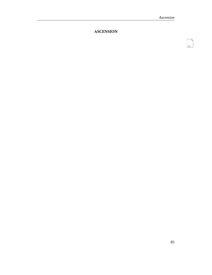131

## **ASCENSION**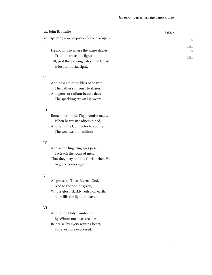tr., John Brownlie 8.6.8.6 καὶ τὴν πρὸς ὕψος οὐρανοῦ θείαν ἀνάληψιν. I He mounts to where the azure shines, Triumphant as the light; Till, past the glowing gates, The Christ

II

And now amid the bliss of heaven, The Father's throne He shares; And gems of radiant beauty deck The sparkling crown He wears.

Is lost to mortal sight.

### III

Remember, Lord, Thy promise made, When hearts in sadness pined, And send the Comforter to soothe The sorrows of mankind;

### IV

And as the lingering ages pass, To teach the souls of men, That they may hail the Christ when He In glory comes again.

### V

All praise to Thee, Eternal God, And to the Son be given, Whose glory, darkly veiled on earth, Now fills the light of heaven;

### VI

And to the Holy Comforter, By Whom our lives are blest, Be praise, by every waiting heart, For evermore expressed.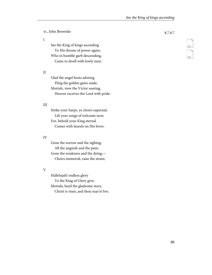### I

See the King of kings ascending To His throne of power again; Who in humble garb descending, Came to dwell with lowly men.

### II

Glad the angel hosts adoring Fling the golden gates aside; Mortals, view the Victor soaring, Heaven receives the Lord with pride.

### III

Strike your harps, ye choirs supernal; Lift your songs of welcome now; For, behold your King eternal Comes with laurels on His brow.

### IV

Gone the sorrow and the sighing; All the anguish and the pain; Gone the weakness and the dying,— Choirs immortal, raise the strain;

### V

Hallelujah! endless glory To the King of Glory give; Mortals, heed the gladsome story, Christ is risen, and thou may'st live.

135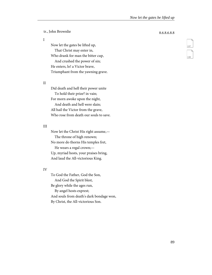I

Now let the gates be lifted up, That Christ may enter in, Who drank for man the bitter cup, And crushed the power of sin; He enters, lo! a Victor brave, Triumphant from the yawning grave.

### II

Did death and hell their power unite To hold their prize? in vain; For morn awoke upon the night, And death and hell were slain; All hail the Victor from the grave, Who rose from death our souls to save.

## III

Now let the Christ His right assume,— The throne of high renown; No more do thorns His temples fret, He wears a regal crown;— Up, myriad hosts, your praises bring, And laud the All-victorious King.

### IV

To God the Father, God the Son, And God the Spirit blest, Be glory while the ages run, By angel hosts exprest; And souls from death's dark bondage won, By Christ, the All-victorious Son.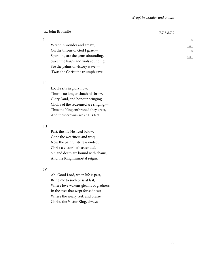tr., John Brownlie 7.7.8.8.7.7

I

Wrapt in wonder and amaze, On the throne of God I gaze;— Sparkling are the gems abounding, Sweet the harps and viols sounding; See the palms of victory wave,— 'Twas the Christ the triumph gave.

II

Lo, He sits in glory now, Thorns no longer clutch his brow,— Glory, laud, and honour bringing, Choirs of the redeemed are singing,— Thus the King enthroned they greet, And their crowns are at His feet.

### III

Past, the life He lived below, Gone the weariness and woe; Now the painful strife is ended, Christ a victor hath ascended, Sin and death are bound with chains, And the King Immortal reigns.

IV

Ah! Good Lord, when life is past, Bring me to such bliss at last; Where love wakens gleams of gladness, In the eyes that wept for sadness;— Where the weary rest, and praise Christ, the Victor King, always.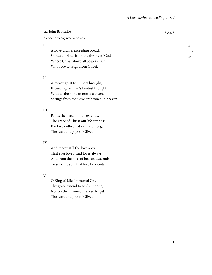ἀνεφέρετο εἰς τὸν οὐρανόν.

I

A Love divine, exceeding broad, Shines glorious from the throne of God, Where Christ above all power is set, Who rose to reign from Olivet.

II

A mercy great to sinners brought, Exceeding far man's kindest thought, Wide as the hope to mortals given, Springs from that love enthroned in heaven.

### III

Far as the need of man extends, The grace of Christ our life attends; For love enthroned can ne'er forget The tears and joys of Olivet.

### IV

And mercy still the love obeys That ever loved, and loves always, And from the bliss of heaven descends To seek the soul that love befriends.

V

O King of Life, Immortal One! Thy grace extend to souls undone, Nor on the throne of heaven forget The tears and joys of Olivet.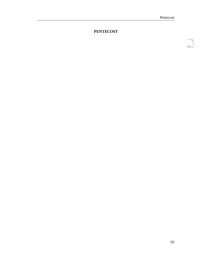143

## **PENTECOST**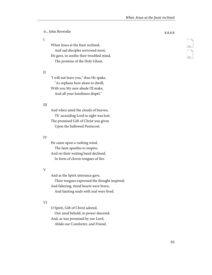I

When Jesus at the feast reclined, And sad disciples sorrowed most, He gave, to soothe their troubled mind, The promise of the Holy Ghost.

II

"I will not leave you," thus He spake, "As orphans here alone to dwell; With you My sure abode I'll make, And all your loneliness dispel."

### III

And when amid the clouds of heaven, Th' ascending Lord to sight was lost; The promised Gift of Christ was given Upon the hallowed Pentecost.

### IV

He came upon a rushing wind, The faint apostles to inspire; And on their waiting band declined, In form of cloven tongues of fire.

### V

And as the Spirit utterance gave, Their tongues expressed the thought inspired; And faltering, timid hearts were brave, And fainting souls with zeal were fired.

### VI

O Spirit, Gift of Christ adored, Our need behold, in power descend; And, as was promised by our Lord, Abide our Comforter, and Friend.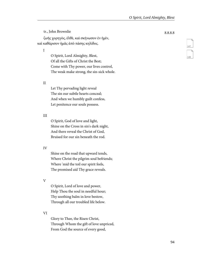ζωῆς χορηγὸς, ἐλθὲ, καὶ σκήνωσον ἐν ἡμῖν, καὶ καθάρισον ἡμᾶς ἀπὸ πάσης κηλίδος.

I

O Spirit, Lord Almighty, Blest, Of all the Gifts of Christ the Best; Come with Thy power, our lives control, The weak make strong, the sin-sick whole.

II

Let Thy pervading light reveal The sin our subtle hearts conceal; And when we humbly guilt confess, Let penitence our souls possess.

### III

O Spirit, God of love and light, Shine on the Cross in sin's dark night, And there reveal the Christ of God, Bruised for our sin beneath the rod.

### IV

Shine on the road that upward tends, Where Christ the pilgrim soul befriends; Where 'mid the toil our spirit feels, The promised aid Thy grace reveals.

V

O Spirit, Lord of love and power, Help Thou the soul in needful hour; Thy soothing balm in love bestow, Through all our troubled life below.

### VI

Glory to Thee, the Risen Christ, Through Whom the gift of love unpriced, From God the source of every good,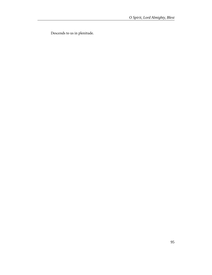Descends to us in plenitude.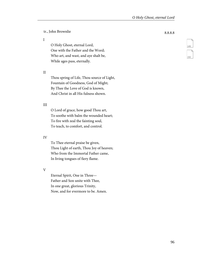I

O Holy Ghost, eternal Lord, One with the Father and the Word; Who art, and wast, and aye shalt be, While ages pass, eternally.

II

Thou spring of Life, Thou source of Light, Fountain of Goodness, God of Might; By Thee the Love of God is known, And Christ in all His fulness shown.

### III

O Lord of grace, how good Thou art, To soothe with balm the wounded heart; To fire with zeal the fainting soul, To teach, to comfort, and control.

### IV

To Thee eternal praise be given, Thou Light of earth, Thou Joy of heaven; Who from the Immortal Father came, In living tongues of fiery flame.

V

Eternal Spirit, One in Three— Father and Son unite with Thee, In one great, glorious Trinity, Now, and for evermore to be. Amen.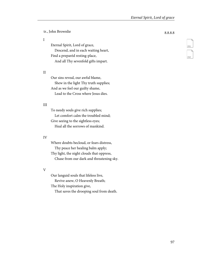tr., John Brownlie 8.8.8.8 Eternal Spirit, Lord of grace, Descend, and in each waiting heart,

Find a preparéd resting-place, And all Thy sevenfold gifts impart.

### II

I

Our sins reveal, our awful blame, Shew in the light Thy truth supplies; And as we feel our guilty shame, Lead to the Cross where Jesus dies.

### III

To needy souls give rich supplies; Let comfort calm the troubled mind; Give seeing to the sightless eyes; Heal all the sorrows of mankind.

### IV

Where doubts becloud, or fears distress, Thy peace her healing balm apply; Thy light, the night clouds that oppress, Chase from our dark and threatening sky.

### V

Our languid souls that lifeless live, Revive anew, O Heavenly Breath; The Holy inspiration give,

That saves the drooping soul from death.

151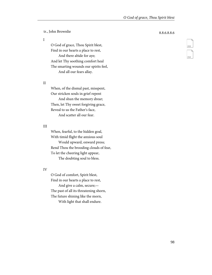I

O God of grace, Thou Spirit blest, Find in our hearts a place to rest, And there abide for aye; And let Thy soothing comfort heal The smarting wounds our spirits feel, And all our fears allay.

II

When, of the dismal past, misspent, Our stricken souls in grief repent And shun the memory drear; Then, let Thy sweet forgiving grace, Reveal to us the Father's face, And scatter all our fear.

### III

When, fearful, to the hidden goal, With timid flight the anxious soul Would upward, onward press; Rend Thou the brooding clouds of fear, To let the cheering light appear, The doubting soul to bless.

### IV

O God of comfort, Spirit blest, Find in our hearts a place to rest, And give a calm, secure;— The past of all its threatening shorn, The future shining like the morn, With light that shall endure.

153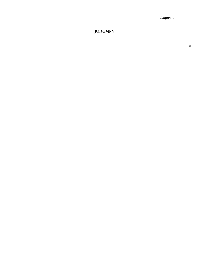155

## **JUDGMENT**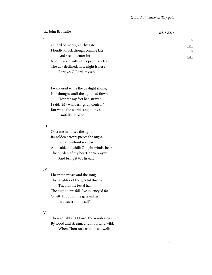I

O Lord of mercy, at Thy gate I loudly knock though coming late, And seek to enter in; Noon passed with all its promise clear, The day declined, now night is here— Forgive, O Lord, my sin.

### II

I wandered while the daylight shone, Nor thought until the light had flown How far my feet had strayed; I said, "My wanderings I'll control," But while the world sang to my soul, I sinfully delayed.

## III

O let me in—I see the light, Its golden arrows pierce the night, But all without is drear, And cold, and chill; O night winds, bear The burden of my heart-born prayer, And bring it to His ear.

### IV

I hear the music and the song, The laughter of the gleeful throng That fill the festal hall; The night dews fall, I've journeyed far— O wilt Thou not the gate unbar, In answer to my call?

### V

Thou sought'st, O Lord, the wandering child, By wood and stream, and moorland wild, When Thou on earth did'st dwell;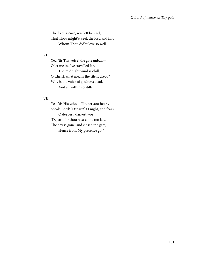The fold, secure, was left behind, That Thou might'st seek the lost, and find Whom Thou did'st love so well.

### VI

Yea, 'tis Thy voice! the gate unbar,— O let me in, I've travelled far, The midnight wind is chill; O Christ, what means the silent dread? Why is the voice of gladness dead, And all within so still?

### VII

Yea, 'tis His voice—Thy servant hears, Speak, Lord! "Depart?" O night, and fears! O deepest, darkest woe! "Depart, for thou hast come too late, The day is gone, and closed the gate, Hence from My presence go!"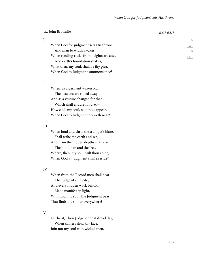tr., John Brownlie 8.6.8.6.8.8

I

When God for judgment sets His throne, And man to wrath awakes; When rending rocks from heights are cast, And earth's foundation shakes; What then, my soul, shall be thy plea, When God to Judgment summons thee?

### II

When, as a garment waxen old, The heavens are rolled away; And as a vesture changed for that Which shall endure for aye,— How clad, my soul, wilt thou appear, When God to Judgment draweth near?

### III

When loud and shrill the trumpet's blare, Shall wake the earth and sea; And from the hidden depths shall rise The bondman and the free,— Where, then, my soul, wilt thou abide, When God at Judgment shall preside?

### IV

When from the Record men shall hear The Judge of all recite; And every hidden work behold, Made manifest in light,— Wilt thou, my soul, the Judgment bear, That finds the sinner everywhere?

### V

O Christ, Thou Judge, on that dread day, When sinners shun thy face, Join not my soul with wicked men,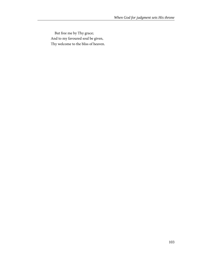But free me by Thy grace; And to my favoured soul be given, Thy welcome to the bliss of heaven.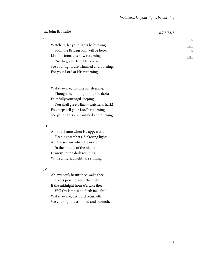tr., John Brownlie 8.7.8.7.8.8

I

Watchers, let your lights be burning, Soon the Bridegroom will be here; List! the footsteps now returning, Rise to greet Him, He is near; See your lights are trimmed and burning,

For your Lord at His returning.

### II

Wake, awake, no time for sleeping, Though the midnight hour be dark; Faithfully your vigil keeping,

You shall greet Him;—watchers, hark! Footsteps tell your Lord's returning, See your lights are trimmed and burning.

### III

Ah, the shame when He appeareth,— Sleeping watchers, flickering light; Ah, the sorrow when He neareth, In the middle of the night;— Drowsy, in the dark reclining, While a myriad lights are shining.

### IV

Ah, my soul, bestir thee, wake thee, Day is passing, soon 'tis night; If the midnight hour o'ertake thee,

Will thy lamp send forth its light? Wake, awake, thy Lord returneth, See your light is trimmed and burneth.

# 162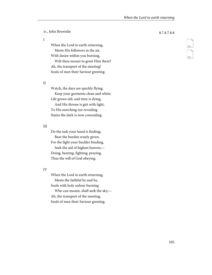tr., John Brownlie 8.7.8.7.8.8

I

When the Lord to earth returning, Meets His followers in the air, With desire within you burning,

Wilt thou mount to greet Him there? Ah, the transport of the meeting! Souls of men their Saviour greeting.

### II

Watch, the days are quickly flying, Keep your garments clean and white; Life grows old, and time is dying, And His throne is girt with light, To His searching eye revealing Stains the dark is now concealing.

### III

Do the task your hand is finding; Bear the burden wisely given; For the fight your buckler binding, Seek the aid of highest heaven;— Doing, bearing, fighting, praying, Thus the will of God obeying.

### IV

When the Lord to earth returning, Meets the faithful by and by, Souls with holy ardour burning

Who can mount, shall seek the sky;— Ah, the transport of the meeting, Souls of men their Saviour greeting.

164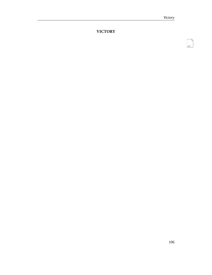167

**VICTORY**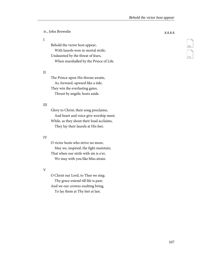tr., John Brownlie 8.8.8.8

I

Behold the victor host appear, With laurels won in mortal strife; Undaunted by the threat of fears, When marshalled by the Prince of Life.

### II

The Prince upon His throne awaits, As, forward, upward like a tide, They win the everlasting gates, Thrust by angelic hosts aside.

### III

Glory to Christ, their song proclaims, And heart and voice give worship meet; While, as they shout their loud acclaims, They lay their laurels at His feet.

### IV

O victor hosts who strive no more, May we, inspired, the fight maintain; That when our strife with sin is o'er, We may with you like bliss attain.

V

O Christ our Lord, to Thee we sing; Thy grace extend till life is past; And we our crowns exulting bring,

To lay them at Thy feet at last.

169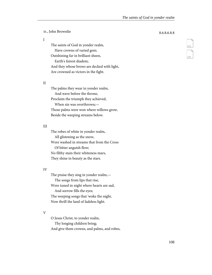tr., John Brownlie 8.6.8.6.8.8

I

The saints of God in yonder realm, Have crowns of varied gem; Outshining far in brilliant sheen, Earth's fairest diadem; And they whose brows are decked with light, Are crowned as victors in the fight.

### II

The palms they wear in yonder realm, And wave before the throne, Proclaim the triumph they achieved, When sin was overthrown;— Those palms were won where willows grow, Beside the weeping streams below.

### III

The robes of white in yonder realm, All glistening as the snow, Were washed in streams that from the Cross Of bitter anguish flow; No filthy stain their whiteness mars, They shine in beauty as the stars.

### IV

The praise they sing in yonder realm,— The songs from lips that rise, Were tuned in night where hearts are sad, And sorrow fills the eyes; The weeping songs that 'woke the night, Now thrill the land of fadeless light.

### V

O Jesus Christ, to yonder realm, Thy longing children bring; And give them crowns, and palms, and robes,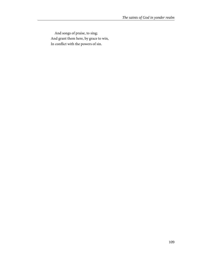And songs of praise, to sing; And grant them here, by grace to win, In conflict with the powers of sin.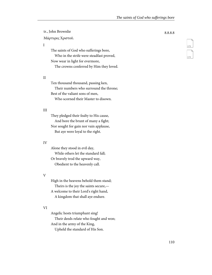tr., John Brownlie 8.8.8.8

Μάρτυρες Χριστοῦ.

I

The saints of God who sufferings bore, Who in the strife were steadfast proved, Now wear in light for evermore,

The crowns conferred by Him they loved.

### II

Ten thousand thousand, passing ken, Their numbers who surround the throne; Best of the valiant sons of men, Who scorned their Master to disown.

### III

They pledged their fealty to His cause, And bore the brunt of many a fight; Nor sought for gain nor vain applause, But aye were loyal to the right.

### IV

Alone they stood in evil day, While others let the standard fall; Or bravely trod the upward way, Obedient to the heavenly call.

### V

High in the heavens behold them stand; Theirs is the joy the saints secure,— A welcome to their Lord's right hand, A kingdom that shall aye endure.

### VI

Angelic hosts triumphant sing! Their deeds relate who fought and won; And in the army of the King, Upheld the standard of His Son.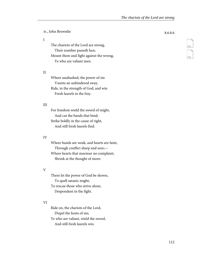tr., John Brownlie 8.6.8.6

#### I

The chariots of the Lord are strong, Their number passeth ken; Mount them and fight against the wrong, Ye who are valiant men.

### II

Where unabashed, the power of sin Vaunts an unhindered sway, Ride, in the strength of God, and win Fresh laurels in the fray.

### III

For freedom wield the sword of might, And cut the bands that bind; Strike boldly in the cause of right, And still fresh laurels find.

### IV

Where hands are weak, and hearts are faint, Through conflict sharp and sore;— Where hearts that murmur no complaint, Shrink at the thought of more:

### V

There let the power of God be shown, To quell satanic might; To rescue those who strive alone, Despondent in the fight.

### VI

Ride on, the chariots of the Lord, Dispel the hosts of sin; Ye who are valiant, wield the sword, And still fresh laurels win.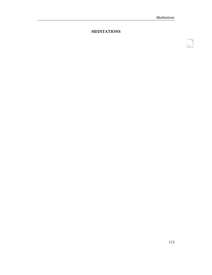177

### **MEDITATIONS**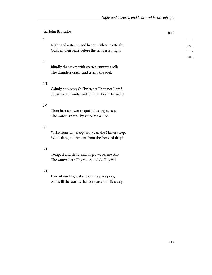tr., John Brownlie 10.10

### I

Night and a storm, and hearts with sore affright, Quail in their fears before the tempest's might.

### II

Blindly the waves with crested summits roll; The thunders crash, and terrify the soul.

### III

Calmly he sleeps; O Christ, art Thou not Lord? Speak to the winds, and let them hear Thy word.

### IV

Thou hast a power to quell the surging sea, The waters know Thy voice at Galilee.

### V

Wake from Thy sleep! How can the Master sleep, While danger threatens from the frenzied deep?

### VI

Tempest and strife, and angry waves are still; The waters hear Thy voice, and do Thy will.

### VII

Lord of our life, wake to our help we pray, And still the storms that compass our life's way.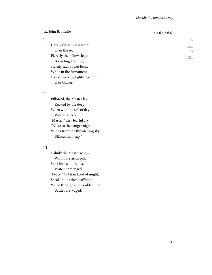tr., John Brownlie 6.4.6.4.6.6.6.4

#### I

Darkly the tempest swept, Over the sea; Fiercely the billows leapt, Bounding and free; Sternly each rower bent, While in the firmament Clouds were by lightnings rent, O'er Galilee.

### II

Pillowed, the Master lay, Rocked by the deep; Worn with the toil of day, Weary, asleep; "Master," they fearful cry, "Wake to the danger nigh,— Winds from the threatening sky, Billows that leap."

### III

Calmly the Master rose,— Winds are assuaged; Sank into calm repose Waters that raged; "Peace!" O Thou Lord of might, Speak in our dread affright, When through our troubled night, Battles are waged.

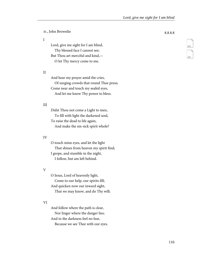tr., John Brownlie 8.8.8.8

I

Lord, give me sight for I am blind, Thy blessed face I cannot see; But Thou art merciful and kind,— O let Thy mercy come to me.

### II

And hear my prayer amid the cries, Of surging crowds that round Thee press; Come near and touch my sealèd eyes, And let me know Thy power to bless.

### III

Didst Thou not come a Light to men, To fill with light the darkened soul, To raise the dead to life again, And make the sin-sick spirit whole?

### IV

O touch mine eyes, and let the light That shines from heaven my spirit find; I grope, and stumble in the night, I follow, but am left behind.

### V

O Jesus, Lord of heavenly light, Come to our help, our spirits fill; And quicken now our inward sight, That we may know, and do Thy will;

### VI

And follow where the path is clear, Nor linger where the danger lies; And in the darkness feel no fear, Because we see Thee with our eyes.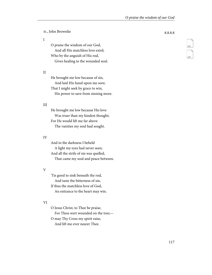tr., John Brownlie 8.8.8.8

I

O praise the wisdom of our God, And all His matchless love extol; Who by the anguish of His rod, Gives healing to the wounded soul.

### II

He brought me low because of sin, And laid His hand upon me sore; That I might seek by grace to win, His power to save from sinning more.

### III

He brought me low because His love Was truer than my kindest thought; For He would lift me far above The vanities my soul had sought.

### IV

And in the darkness I beheld A light my eyes had never seen; And all the strife of sin was quelled, That came my soul and peace between.

### V

'Tis good to sink beneath the rod, And taste the bitterness of sin, If thus the matchless love of God, An entrance to the heart may win.

### VI

O Jesus Christ, to Thee be praise, For Thou wert wounded on the tree;— O may Thy Cross my spirit raise, And lift me ever nearer Thee.

185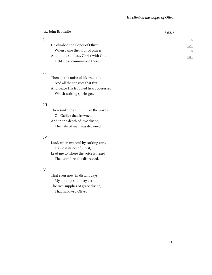tr., John Brownlie 8.6.8.6

I

He climbed the slopes of Olivet When came the hour of prayer, And in the stillness, Christ with God Held close communion there.

### II

Then all the noise of life was still, And all the tongues that fret; And peace His troubled heart possessed, Which waiting spirits get.

### III

Then sank life's tumult like the waves On Galilee that frowned; And in the depth of love divine, The hate of man was drowned.

### IV

Lord, when my soul by carking care, Has lost its needful rest, Lead me to where the voice is heard That comforts the distressed.

### V

That even now, in distant days, My longing soul may get The rich supplies of grace divine, That hallowed Olivet.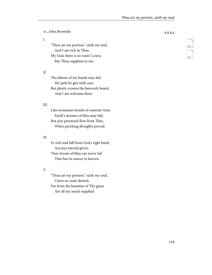tr., John Brownlie 8.6.8.6

#### I

"Thou art my portion," saith my soul, And I am rich in Thee; My God, there is no want I crave, But Thou suppliest to me.

### II

The labour of my hands may fail, My path be girt with care; But plenty crowns the heavenly board, And I am welcome there.

### III

Like mountain brooks in summer time, Earth's streams of bliss may fail; But joys perennial flow from Thee, When parching droughts prevail.

### IV

O, rich and full from God's right hand, Are joys eternal given; That stream of bliss can never fail That has its source in heaven.

### V

"Thou art my portion," saith my soul, I have no want denied, For from the bounties of Thy grace Are all my needs supplied.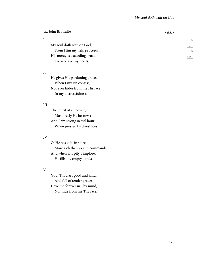tr., John Brownlie 6.6.8.6

### I

My soul doth wait on God, From Him my help proceeds; His mercy is exceeding broad, To overtake my needs.

### II

He gives His pardoning grace, When I my sin confess; Nor ever hides from me His face In my distressfulness.

### III

The Spirit of all power, Most freely He bestows; And I am strong in evil hour, When pressed by direst foes.

### IV

O, He has gifts in store, More rich than wealth commands; And when His pity I implore, He fills my empty hands.

### V

God, Thou art good and kind, And full of tender grace; Have me forever in Thy mind, Nor hide from me Thy face.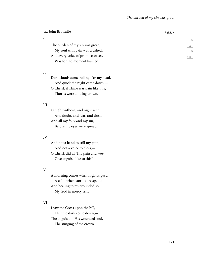tr., John Brownlie 8.6.8.6

#### I

The burden of my sin was great, My soul with pain was crushed; And every voice of promise sweet, Was for the moment hushed.

### II

Dark clouds come rolling o'er my head, And quick the night came down;— O Christ, if Thine was pain like this,

Thorns were a fitting crown.

### III

O night without, and night within, And doubt, and fear, and dread; And all my folly and my sin, Before my eyes were spread.

### IV

And not a hand to still my pain, And not a voice to bless;— O Christ, did all Thy pain and woe Give anguish like to this?

### V

A morning comes when night is past, A calm when storms are spent; And healing to my wounded soul, My God in mercy sent.

### VI

I saw the Cross upon the hill, I felt the dark come down;— The anguish of His wounded soul, The stinging of the crown.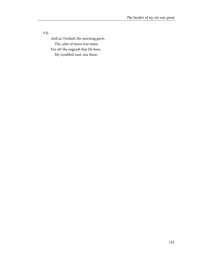VII

And as I looked, the morning grew, The calm of morn was mine; For ah! the anguish that He bore, My troubled soul, was thine.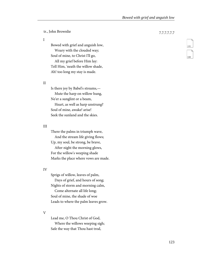tr., John Brownlie 7.7.7.7.7.7

I

Bowed with grief and anguish low, Weary with the clouded way; Soul of mine, to Christ I'll go, All my grief before Him lay: Tell Him, 'neath the willow shade, Ah! too long my stay is made.

### II

Is there joy by Babel's streams,— Mute the harp on willow hung, Ne'er a sunglint or a beam,

Heart, as well as harp unstrung? Soul of mine, awake! arise! Seek the sunland and the skies.

### III

There the palms in triumph wave, And the stream life giving flows; Up, my soul, be strong, be brave, After night the morning glows, For the willow's weeping shade Marks the place where vows are made.

### IV

Sprigs of willow, leaves of palm, Days of grief, and hours of song; Nights of storm and morning calm, Come alternate all life long; Soul of mine, the shade of woe Leads to where the palm leaves grow.

V

Lead me, O Thou Christ of God, Where the willows weeping sigh; Safe the way that Thou hast trod,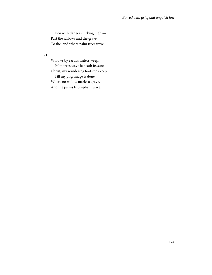E'en with dangers lurking nigh,— Past the willows and the grave, To the land where palm trees wave.

VI

Willows by earth's waters weep, Palm trees wave beneath its sun; Christ, my wandering footsteps keep, Till my pilgrimage is done, Where no willow marks a grave, And the palms triumphant wave.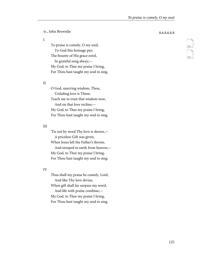tr., John Brownlie 8.6.8.6.8.8

I

To praise is comely, O my soul, To God this homage pay; The bounty of His grace extol, In grateful song alway;— My God; to Thee my praise I bring, For Thou hast taught my soul to sing.

### II

O God, unerring wisdom, Thou, Unfailing love is Thine; Teach me to trust that wisdom now, And on that love recline;— My God, to Thee my praise I bring, For Thou hast taught my soul to sing.

### III

'Tis not by word Thy love is shown,— A priceless Gift was given, When Jesus left the Father's throne, And stooped to earth from heaven;— My God, to Thee my praise I bring, For Thou hast taught my soul to sing.

### IV

Thus shall my praise be comely, Lord, And like Thy love divine, When gift shall far surpass my word, And life with praise combine;— My God, to Thee my praise I bring, For Thou hast taught my soul to sing.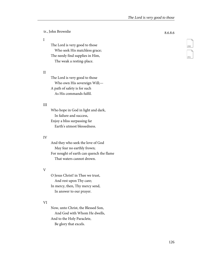tr., John Brownlie 8.6.8.6

### I

The Lord is very good to those Who seek His matchless grace; The needy find supplies in Him, The weak a resting-place.

### II

The Lord is very good to those Who own His sovereign Will;— A path of safety is for such As His commands fulfil.

### III

Who hope in God in light and dark, In failure and success, Enjoy a bliss surpassing far Earth's utmost blessedness.

### IV

And they who seek the love of God May fear no earthly frown; For nought of earth can quench the flame That waters cannot drown.

### V

O Jesus Christ! in Thee we trust, And rest upon Thy care; In mercy, then, Thy mercy send, In answer to our prayer.

### VI

Now, unto Christ, the Blessed Son, And God with Whom He dwells, And to the Holy Paraclete, Be glory that excels.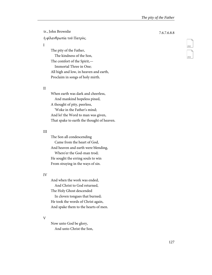tr., John Brownlie 7.6.7.6.8.8 ἡ φῐλανθρωπία τοῦ Πατρὸς.

### I

The pity of the Father, The kindness of the Son, The comfort of the Spirit,— Immortal Three in One; All high and low, in heaven and earth, Proclaim in songs of holy mirth.

### II

When earth was dark and cheerless, And mankind hopeless pined, A thought of pity, peerless, 'Woke in the Father's mind; And lo! the Word to man was given, That spake to earth the thought of heaven.

### III

The Son all condescending Came from the heart of God, And heaven and earth were blending, Where'er the God-man trod; He sought the erring souls to win From straying in the ways of sin.

### IV

And when the work was ended, And Christ to God returned, The Holy Ghost descended In cloven tongues that burned; He took the words of Christ again, And spake them to the hearts of men.

### V

Now unto God be glory, And unto Christ the Son,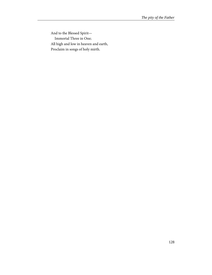And to the Blessed Spirit— Immortal Three in One; All high and low in heaven and earth, Proclaim in songs of holy mirth.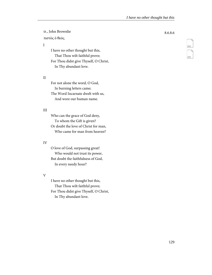tr., John Brownlie 8.6.8.6 πιστὸς ὁ θεός.

I

I have no other thought but this, That Thou wilt faithful prove; For Thou didst give Thyself, O Christ, In Thy abundant love.

### II

For not alone the word, O God, In burning letters came; The Word Incarnate dwelt with us, And wore our human name.

### III

Who can the grace of God deny, To whom the Gift is given? Or doubt the love of Christ for man, Who came for man from heaven?

### IV

O love of God, surpassing great! Who would not trust its power, But doubt the faithfulness of God, In every needy hour?

### V

I have no other thought but this, That Thou wilt faithful prove; For Thou didst give Thyself, O Christ, In Thy abundant love.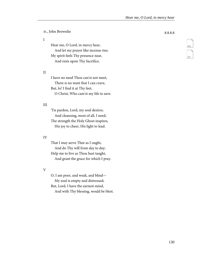tr., John Brownlie 8.8.8.8

#### I

Hear me, O Lord, in mercy hear, And let my prayer like incense rise; My spirit feels Thy presence near, And rests upon Thy Sacrifice.

### II

I have no need Thou can'st not meet, There is no want that I can crave, But, lo! I find it at Thy feet, O Christ, Who cam'st my life to save.

### III

'Tis pardon, Lord, my soul desires; And cleansing, most of all, I need; The strength the Holy Ghost inspires, His joy to cheer, His light to lead.

### IV

That I may serve Thee as I ought, And do Thy will from day to day; Help me to live as Thou hast taught, And grant the grace for which I pray.

### V

O, I am poor, and weak, and blind— My soul is empty and distressed; But, Lord, I have the earnest mind,

And with Thy blessing, would be blest.

206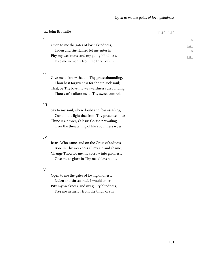tr., John Brownlie 11.10.11.10

I

Open to me the gates of lovingkindness, Laden and sin-stained let me enter in; Pity my weakness, and my guilty blindness, Free me in mercy from the thrall of sin.

### II

Give me to know that, in Thy grace abounding, Thou hast forgiveness for the sin-sick soul; That, by Thy love my waywardness surrounding, Thou can'st allure me to Thy sweet control.

### III

Say to my soul, when doubt and fear assailing, Curtain the light that from Thy presence flows, Thine is a power, O Jesus Christ, prevailing Over the threatening of life's countless woes.

### IV

Jesus, Who came, and on the Cross of sadness, Bore in Thy weakness all my sin and shame; Change Thou for me my sorrow into gladness, Give me to glory in Thy matchless name.

V

Open to me the gates of lovingkindness,

Laden and sin-stained, I would enter in; Pity my weakness, and my guilty blindness,

Free me in mercy from the thrall of sin.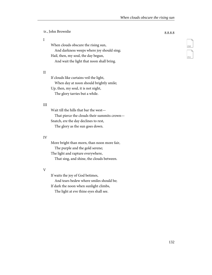tr., John Brownlie 8.8.8.8 When clouds obscure the rising sun, And darkness weeps where joy should sing; Hail, then, my soul, the day begun, And wait the light that noon shall bring.

II

I

If clouds like curtains veil the light, When day at noon should brightly smile; Up, then, my soul, it is not night, The glory tarries but a while.

### III

Wait till the hills that bar the west— That pierce the clouds their summits crown— Snatch, ere the day declines to rest, The glory as the sun goes down.

### IV

More bright than morn, than noon more fair, The purple and the gold serene; The light and rapture everywhere, That sing, and shine, the clouds between.

### V

If waits the joy of God betimes, And tears bedew where smiles should be; If dark the noon when sunlight climbs,

The light at eve thine eyes shall see.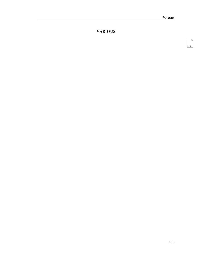$213$ 

### **VARIOUS**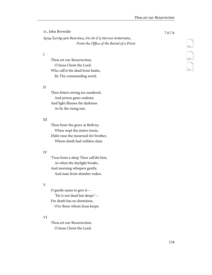| tr., John Brownlie                                      | 7.6.7.6 |
|---------------------------------------------------------|---------|
| έργω Σωτήρ μου δεικνύεις, ότι σὺ εἶ ἡ πάντων ἀνάστασις. |         |
| From the Office of the Burial of a Priest               |         |

I

Thou art our Resurrection, O Jesus Christ the Lord; Who call'st the dead from hades, By Thy commanding word;

### II

Then fetters strong are sundered, And prison gates undone; And light illumes the darkness As by the rising sun.

### III

Thou from the grave at Beth'ny, When wept the sisters twain, Didst raise the mourned-for brother, Whom death had ruthless slain.

### IV

'Twas from a sleep Thou call'dst him, As when the daylight breaks, And morning whispers gently, And man from slumber wakes.

### V

O gentle name to give it— "He is not dead but sleeps"— For death has no dominion, O'er those whom Jesus keeps.

### VI

Thou art our Resurrection, O Jesus Christ the Lord;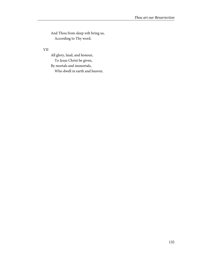And Thou from sleep wilt bring us, According to Thy word.

### VII

All glory, laud, and honour, To Jesus Christ be given, By mortals and immortals,

Who dwell in earth and heaven.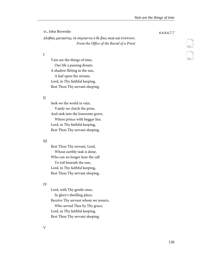tr., John Brownlie 6.6.8.6.7.7 ἀληθῶς ματαιότης τὰ σύμπαντα ὁ δὲ βίος σκιὰ καὶ ἐνύπνιον. From the Office of the Burial of a Priest

I

Vain are the things of time, Our life a passing dream; A shadow flitting in the sun, A leaf upon the stream; Lord, in Thy faithful keeping, Rest Thou Thy servant sleeping.

### II

Seek we the world in vain, Vainly we clutch the prize, And sink into the lonesome grave, Where prince with beggar lies; Lord, in Thy faithful keeping, Rest Thou Thy servant sleeping.

### III

Rest Thou Thy servant, Lord, Whose earthly task is done; Who can no longer hear the call To toil beneath the sun; Lord, in Thy faithful keeping, Rest Thou Thy servant sleeping.

### IV

Lord, with Thy gentle ones, In glory's dwelling-place, Receive Thy servant whom we mourn, Who served Thee by Thy grace; Lord, in Thy faithful keeping, Rest Thou Thy servant sleeping.

V

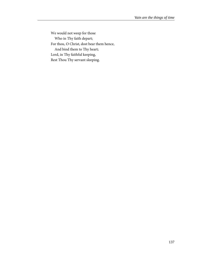We would not weep for those Who in Thy faith depart; For thou, O Christ, dost bear them hence, And bind them to Thy heart; Lord, in Thy faithful keeping, Rest Thou Thy servant sleeping.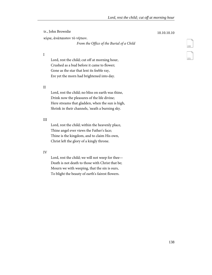| tr., John Brownlie                       | 10.10.10.10 |
|------------------------------------------|-------------|
| κύριε, ανάπαυσον τὸ νήπιον.              |             |
| From the Office of the Burial of a Child |             |
|                                          |             |

I

Lord, rest the child; cut off at morning hour, Crushed as a bud before it came to flower; Gone as the star that lent its feeble ray, Ere yet the morn had brightened into day.

#### II

Lord, rest the child; no bliss on earth was thine, Drink now the pleasures of the life divine; Here streams that gladden, when the sun is high, Shrink in their channels, 'neath a burning sky.

#### III

Lord, rest the child; within the heavenly place, Thine angel ever views the Father's face; Thine is the kingdom, and to claim His own, Christ left the glory of a kingly throne.

#### IV

Lord, rest the child; we will not weep for thee— Death is not death to those with Christ that be; Mourn we with weeping, that the sin is ours, To blight the beauty of earth's fairest flowers.

# <span id="page-144-1"></span><span id="page-144-0"></span>220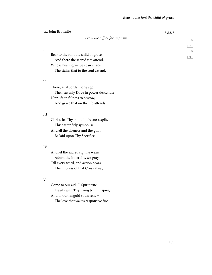tr., John Brownlie 8.8.8.8

#### From the Office for Baptism

I

Bear to the font the child of grace, And there the sacred rite attend, Whose healing virtues can efface The stains that to the soul extend.

#### II

There, as at Jordan long ago, The heavenly Dove in power descends; New life in fulness to bestow, And grace that on the life attends.

#### III

Christ, let Thy blood in freeness spilt, This water fitly symbolise; And all the vileness and the guilt, Be laid upon Thy Sacrifice.

#### IV

And let the sacred sign he wears, Adorn the inner life, we pray; Till every word, and action bears, The impress of that Cross alway.

#### V

Come to our aid, O Spirit true; Hearts with Thy living truth inspire; And to our languid souls renew The love that wakes responsive fire.

<span id="page-145-1"></span><span id="page-145-0"></span>

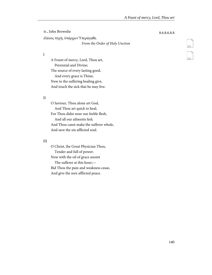tr., John Brownlie 8.6.8.6.8.8 ἐλέους πηγὴ, ὑπάρχων Ὑπεράγαθε. From the Order of Holy Unction

I

A Fount of mercy, Lord, Thou art, Perennial and Divine; The source of every lasting good, And every grace is Thine; Now to the suffering healing give, And touch the sick that he may live.

### II

O Saviour, Thou alone art God, And Thou art quick to heal; For Thou didst wear our feeble flesh, And all our ailments feel; And Thou canst make the sufferer whole, And save the sin afflicted soul.

#### III

O Christ, the Great Physician Thou, Tender and full of power; Now with the oil of grace anoint The sufferer at this hour;— Bid Thou the pain and weakness cease, And give the sore afflicted peace.

<span id="page-146-1"></span><span id="page-146-0"></span>

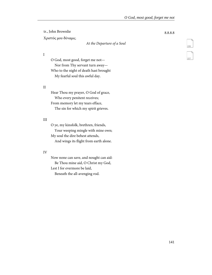tr., John Brownlie 8.8.8.8

Χριστός μου δύναμις.

#### At the Departure of a Soul

I

O God, most good, forget me not— Nor from Thy servant turn away— Who to the night of death hast brought My fearful soul this awful day.

#### II

Hear Thou my prayer, O God of grace, Who every penitent receives; From memory let my tears efface, The sin for which my spirit grieves.

#### III

O ye, my kinsfolk, brethren, friends, Your weeping mingle with mine own; My soul the dire behest attends, And wings its flight from earth alone.

#### IV

Now none can save, and nought can aid: Be Thou mine aid, O Christ my God, Lest I for evermore be laid, Beneath the all-avenging rod.

<span id="page-147-1"></span><span id="page-147-0"></span>

226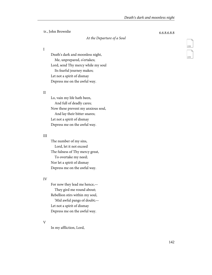tr., John Brownlie 6.6.8.6.8.8

#### <span id="page-148-1"></span><span id="page-148-0"></span>At the Departure of a Soul

I

Death's dark and moonless night, Me, unprepared, o'ertakes; Lord, send Thy mercy while my soul Its fearful journey makes; Let not a spirit of dismay Depress me on the awful way.

#### II

Lo, vain my life hath been, And full of deadly cares; Now these prevent my anxious soul, And lay their bitter snares; Let not a spirit of dismay Depress me on the awful way.

#### III

The number of my sins, Lord, let it not exceed The fulness of Thy mercy great, To overtake my need; Nor let a spirit of dismay Depress me on the awful way.

#### IV

For now they lead me hence,— They gird me round about; Rebellion stirs within my soul, 'Mid awful pangs of doubt;— Let not a spirit of dismay Depress me on the awful way.

V

In my affliction, Lord,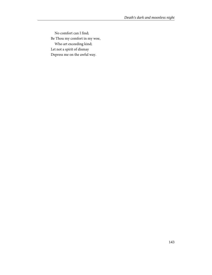No comfort can I find; Be Thou my comfort in my woe, Who art exceeding kind; Let not a spirit of dismay Depress me on the awful way.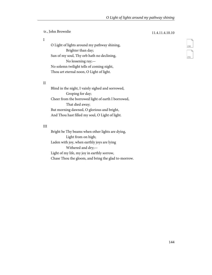tr., John Brownlie 11.4.11.4.10.10

#### I

<span id="page-150-1"></span><span id="page-150-0"></span>O Light of lights around my pathway shining, Brighter than day; Sun of my soul, Thy orb hath no declining, No lessening ray;— No solemn twilight tells of coming night, Thou art eternal noon, O Light of light.

#### II

Blind in the night, I vainly sighed and sorrowed, Groping for day; Cheer from the borrowed light of earth I borrowed, That died away; But morning dawned, O glorious and bright, And Thou hast filled my soul, O Light of light.

### III

Bright be Thy beams when other lights are dying, Light from on high; Laden with joy, when earthly joys are lying Withered and dry;— Light of my life, my joy in earthly sorrow, Chase Thou the gloom, and bring the glad to-morrow.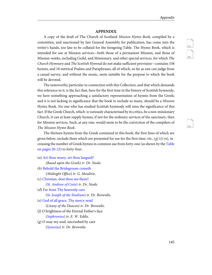#### **APPENDIX**

A copy of the draft of The Church of Scotland Mission Hymn Book, compiled by a committee, and sanctioned by last General Assembly for publication, has come into the writer's hands, too late to be collated for the foregoing Table. The Hymn Book, which is intended for use at Mission services—both those of a permanent Mission, and those of Mission-weeks, including Guild, and Missionary, and other special services, for which The Church Hymnary and The Scottish Hymnal do not make sufficient provision—contains 338 hymns, and 18 metrical Psalms and Paraphrases, all of which, so far as one can judge from a casual survey, and without the music, seem suitable for the purpose to which the book will be devoted.

The noteworthy particular in connection with this Collection, and that which demands this reference to it, is the fact that, here for the first time in the history of Scottish hymnody, we have something approaching a satisfactory representation of hymns from the Greek; and it is not lacking in significance that the book to include so many, should be a Mission Hymn Book. No one who has studied Scottish hymnody will miss the significance of this fact. If the Greek Church, which is variously characterised by its critics, be a non-missionary Church, it can at least supply hymns, if not for the ordinary services of the sanctuary, then for Mission services. Such, at any rate, would seem to be the conviction of the compilers of The Mission Hymn Book.

The thirteen hymns from the Greek contained in this book, the first lines of which are given below, include three which are presented for use for the first time, viz., (g) (i) (n), increasing the number of Greek hymns in common use from forty-one (as shewn by the [Table](#page-11-0) [on pages 20-23](#page-11-0)) to forty-four.

(a) [Art thou weary, art thou languid?](http://ccel.org/ccel/neale/easternhymns.H55.html)

(Based upon the Greek) tr. Dr. Neale.

- (b) [Behold the Bridegroom cometh](http://ccel.org/ccel/dearmer/englishhymnl.h003.html) (Midnight Office) tr. G. Moultrie.
- (c) [Christian, dost thou see them?](http://ccel.org/ccel/neale/easternhymns.H8.html)

([St. Andrew of Crete](#page-34-0)) tr. Dr. Neale.

(d) [Far from Thy heavenly care](http://ccel.org/ccel/brownlie/earlyhymns.H66.html)

([St. Joseph of the Studium](#page-39-0)) tr. Dr. Brownlie.

(e) [God of all grace, Thy mercy send](http://ccel.org/ccel/brownlie/earlyhymns.h20.html)

(Litany of the Deacon) tr. Dr. Brownlie.

- (f) O brightness of the Eternal Father's face ([Sophronius](#page-35-0)) tr. E. W. Eddis.
- (g) O may my soul, uncrushed by care ([Synesius](#page-31-0)) tr. Dr. Brownlie.

<span id="page-151-2"></span><span id="page-151-1"></span><span id="page-151-0"></span>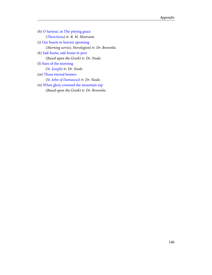- (h) [O Saviour, in Thy pitying grace](http://ccel.org/ccel/moorsom/churchhymns/h10.htm) ([Theoctistus](#page-40-0)) tr. R. M. Moorsom.
- (i) [Our hearts to heaven upraising](http://ccel.org/ccel/brownlie/russianhymns.h7.html) (Morning service, Horologion) tr. Dr. Brownlie.
- (k) [Safe home, safe home in port](http://ccel.org/ccel/neale/easternhymns.H57.html) (Based upon the Greek) tr. Dr. Neale.
- (l) [Stars of the morning](http://ccel.org/ccel/neale/easternhymns.H44.html)

([St. Joseph](#page-39-0)) tr. Dr. Neale.

(m) [Those eternal bowers](http://ccel.org/ccel/neale/easternhymns.H19.html)

([St. John of Damascus](#page-37-0)) tr. Dr. Neale.

(n) [When glory crowned the mountain top](http://ccel.org/ccel/brownlie/russianhymns.h99.html) (Based upon the Greek) tr. Dr. Brownlie.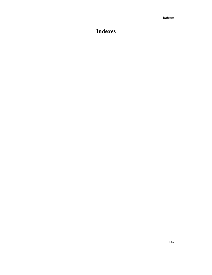## **Indexes**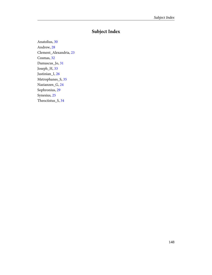### **Subject Index**

Anatolius, [30](#page-36-0) Andrew, [28](#page-34-1) Clement\_Alexandria, [23](#page-29-0) Cosmas, [32](#page-38-0) Damascus\_Jo, [31](#page-37-1) Joseph\_H, [33](#page-39-1) Justinian\_I, [26](#page-32-0) Metrophanes\_S, [35](#page-41-0) Nazianzen\_G, [24](#page-30-0) Sophronius, [29](#page-35-1) Synesius, [25](#page-31-1) Theoctistus\_S, [34](#page-40-1)